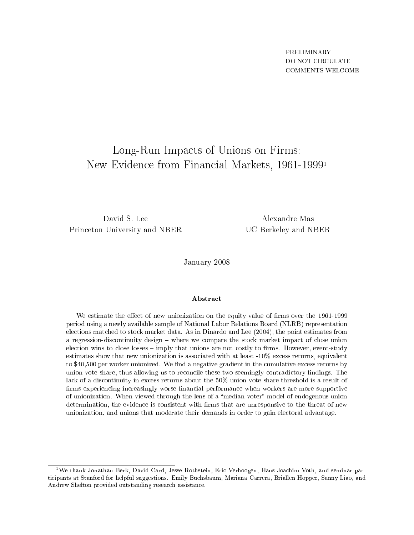# the company of University of University of Press, and The Unions of Unions of Unions on  $\mathcal{L}_\mathbf{A}$ New Eviden
e from Finan
ial Markets, 1961-19991

David S. Lee Prin
eton University and NBER

Alexandre Mas UC Berkeley and NBER

January 2008

### Abstra
t

We estimate the effect of new unionization on the equity value of firms over the 1961-1999 period using a newly available sample of National Labor Relations Board (NLRB) representation ele
tions mat
hed to sto
k market data. As in Dinardo and Lee (2004), the point estimates from a regression-discontinuity design – where we compare the stock market impact of close union election wins to close losses  $-$  imply that unions are not costly to firms. However, event-study estimates show that new unionization is associated with at least -10% excess returns, equivalent to \$40,500 per worker unionized. We find a negative gradient in the cumulative excess returns by union vote share, thus allowing us to reconcile these two seemingly contradictory findings. The la
k of a dis
ontinuity in ex
ess returns about the 50% union vote share threshold is a result of firms experiencing increasingly worse financial performance when workers are more supportive of unionization. When viewed through the lens of a "median voter" model of endogenous union determination, the evidence is consistent with firms that are unresponsive to the threat of new unionization, and unions that moderate their demands in order to gain electoral advantage.

<sup>&</sup>lt;sup>1</sup>We thank Jonathan Berk, David Card, Jesse Rothstein, Eric Verhoogen, Hans-Joachim Voth, and seminar participants at Stanford for helpful suggestions. Emily Buchsbaum, Mariana Carrera, Briallen Hopper, Sanny Liao, and Andrew Shelton provided outstanding resear
h assistan
e.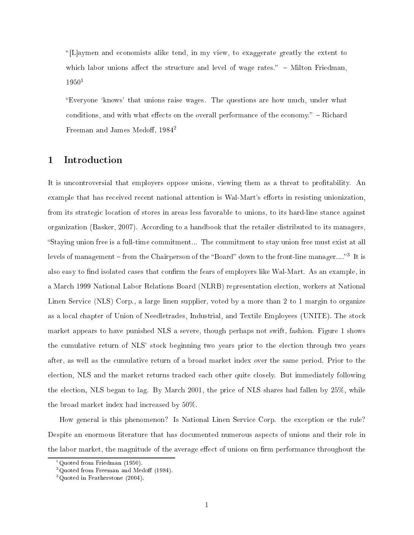"[L] aymen and economists alike tend, in my view, to exaggerate greatly the extent to which labor unions affect the structure and level of wage rates."  $-$  Milton Friedman,  $1950<sup>1</sup>$ 

"Everyone 'knows' that unions raise wages. The questions are how much, under what conditions, and with what effects on the overall performance of the economy." – Richard Freeman and James Medoff,  $1984^2$ 

#### 1**Introduction**

It is uncontroversial that employers oppose unions, viewing them as a threat to profitability. An example that has received recent national attention is Wal-Mart's efforts in resisting unionization, from its strategi lo
ation of stores in areas less favorable to unions, to its hard-line stan
e against organization (Basker, 2007). According to a handbook that the retailer distributed to its managers, Staying union free is a full-time ommitment... The ommitment to stay union free must exist at all levels of management  $-$  from the Chairperson of the Board -down to the front-line manager.... 3 Tt is also easy to find isolated cases that confirm the fears of employers like Wal-Mart. As an example, in a Mar
h 1999 National Labor Relations Board (NLRB) representation ele
tion, workers at National Linen Service (NLS) Corp., a large linen supplier, voted by a more than 2 to 1 margin to organize as a local chapter of Union of Needletrades, Industrial, and Textile Employees (UNITE). The stock market appears to have punished NLS a severe, though perhaps not swift, fashion. Figure 1 shows the umulative return of NLS' sto
k beginning two years prior to the ele
tion through two years after, as well as the umulative return of a broad market index over the same period. Prior to the ele
tion, NLS and the market returns tra
ked ea
h other quite losely. But immediately following the ele
tion, NLS began to lag. By Mar
h 2001, the pri
e of NLS shares had fallen by 25%, while the broad market index had increased by  $50\%$ .

How general is this phenomenon? Is National Linen Servi
e Corp. the ex
eption or the rule? Despite an enormous literature that has documented numerous aspects of unions and their role in the labor market, the magnitude of the average effect of unions on firm performance throughout the

<sup>1</sup> Quoted from Friedman (1950).

<sup>-</sup>Quoted from Freeman and Medoff (1984).

<sup>3</sup> Quoted in Featherstone (2004).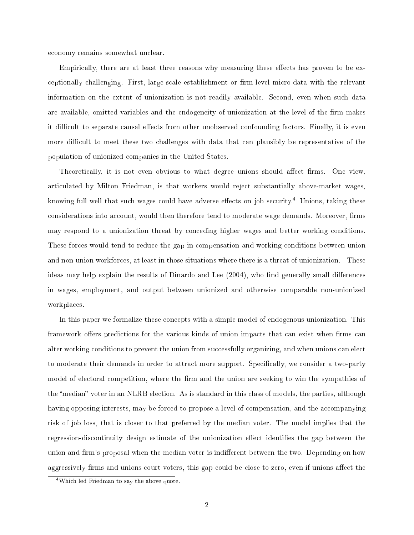e
onomy remains somewhat un
lear.

Empirically, there are at least three reasons why measuring these effects has proven to be exceptionally challenging. First, large-scale establishment or firm-level micro-data with the relevant information on the extent of unionization is not readily available. Second, even when such data are available, omitted variables and the endogeneity of unionization at the level of the firm makes it difficult to separate causal effects from other unobserved confounding factors. Finally, it is even more difficult to meet these two challenges with data that can plausibly be representative of the population of unionized ompanies in the United States.

Theoretically, it is not even obvious to what degree unions should affect firms. One view, arti
ulated by Milton Friedman, is that workers would reje
t substantially above-market wages, knowing full well that such wages could have adverse effects on job security. A Unions, taking these considerations into account, would then therefore tend to moderate wage demands. Moreover, firms may respond to a unionization threat by on
eding higher wages and better working onditions. These forces would tend to reduce the gap in compensation and working conditions between union and non-union workfor
es, at least in those situations where there is a threat of unionization. These ideas may help explain the results of Dinardo and Lee (2004), who find generally small differences in wages, employment, and output between unionized and otherwise omparable non-unionized workpla
es.

In this paper we formalize these concepts with a simple model of endogenous unionization. This framework offers predictions for the various kinds of union impacts that can exist when firms can alter working conditions to prevent the union from successfully organizing, and when unions can elect to moderate their demands in order to attract more support. Specifically, we consider a two-party model of electoral competition, where the firm and the union are seeking to win the sympathies of the "median" voter in an NLRB election. As is standard in this class of models, the parties, although having opposing interests, may be forced to propose a level of compensation, and the accompanying risk of job loss, that is loser to that preferred by the median voter. The model implies that the regression-discontinuity design estimate of the unionization effect identifies the gap between the union and firm's proposal when the median voter is indifferent between the two. Depending on how aggressively firms and unions court voters, this gap could be close to zero, even if unions affect the

<sup>&</sup>lt;sup>4</sup>Which led Friedman to say the above quote.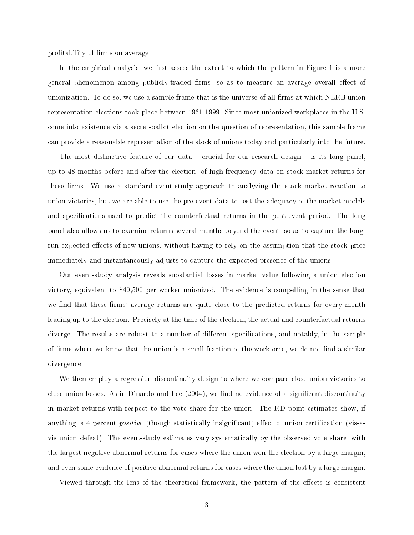profitability of firms on average.

In the empirical analysis, we first assess the extent to which the pattern in Figure 1 is a more general phenomenon among publicly-traded firms, so as to measure an average overall effect of unionization. To do so, we use a sample frame that is the universe of all firms at which NLRB union representation elections took place between 1961-1999. Since most unionized workplaces in the U.S. come into existence via a secret-ballot election on the question of representation, this sample frame can provide a reasonable representation of the stock of unions today and particularly into the future.

The most distinctive feature of our data – crucial for our research design – is its long panel. up to 48 months before and after the ele
tion, of high-frequen
y data on sto
k market returns for these firms. We use a standard event-study approach to analyzing the stock market reaction to union victories, but we are able to use the pre-event data to test the adequacy of the market models and specifications used to predict the counterfactual returns in the post-event period. The long panel also allows us to examine returns several months beyond the event, so as to capture the longrun expected effects of new unions, without having to rely on the assumption that the stock price immediately and instantaneously adjusts to apture the expe
ted presen
e of the unions.

Our event-study analysis reveals substantial losses in market value following a union ele
tion vi
tory, equivalent to \$40,500 per worker unionized. The eviden
e is ompelling in the sense that we find that these firms' average returns are quite close to the predicted returns for every month leading up to the election. Precisely at the time of the election, the actual and counterfactual returns diverge. The results are robust to a number of different specifications, and notably, in the sample of firms where we know that the union is a small fraction of the workforce, we do not find a similar divergen
e.

We then employ a regression discontinuity design to where we compare close union victories to close union losses. As in Dinardo and Lee  $(2004)$ , we find no evidence of a significant discontinuity in market returns with respe
t to the vote share for the union. The RD point estimates show, if anything, a 4 percent *positive* (though statistically insignificant) effect of union certification (vis-avis union defeat). The event-study estimates vary systemati
ally by the observed vote share, with the largest negative abnormal returns for cases where the union won the election by a large margin. and even some evidence of positive abnormal returns for cases where the union lost by a large margin

Viewed through the lens of the theoretical framework, the pattern of the effects is consistent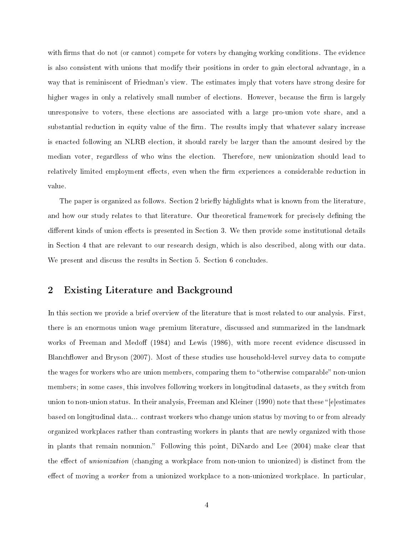with firms that do not (or cannot) compete for voters by changing working conditions. The evidence is also onsistent with unions that modify their positions in order to gain ele
toral advantage, in a way that is reminis
ent of Friedman's view. The estimates imply that voters have strong desire for higher wages in only a relatively small number of elections. However, because the firm is largely unresponsive to voters, these ele
tions are asso
iated with a large pro-union vote share, and a substantial reduction in equity value of the firm. The results imply that whatever salary increase is ena
ted following an NLRB ele
tion, it should rarely be larger than the amount desired by the median voter, regardless of who wins the ele
tion. Therefore, new unionization should lead to relatively limited employment effects, even when the firm experiences a considerable reduction in value.

The paper is organized as follows. Section 2 briefly highlights what is known from the literature. and how our study relates to that literature. Our theoretical framework for precisely defining the different kinds of union effects is presented in Section 3. We then provide some institutional details in Se
tion 4 that are relevant to our resear
h design, whi
h is also des
ribed, along with our data. We present and discuss the results in Section 5. Section 6 concludes.

#### 2Existing Literature and Ba
kground

In this section we provide a brief overview of the literature that is most related to our analysis. First, there is an enormous union wage premium literature, dis
ussed and summarized in the landmark works of Freeman and Medoff (1984) and Lewis (1986), with more recent evidence discussed in Blanchflower and Bryson (2007). Most of these studies use household-level survey data to compute the wages for workers who are union members, comparing them to "otherwise comparable" non-union members; in some cases, this involves following workers in longitudinal datasets, as they switch from union to non-union status. In their analysis, Freeman and Kleiner (1990) note that these "[elestimates based on longitudinal data... ontrast workers who hange union status by moving to or from already organized workpla
es rather than ontrasting workers in plants that are newly organized with those in plants that remain nonunion." Following this point, DiNardo and Lee (2004) make clear that the effect of *unionization* (changing a workplace from non-union to unionized) is distinct from the effect of moving a *worker* from a unionized workplace to a non-unionized workplace. In particular,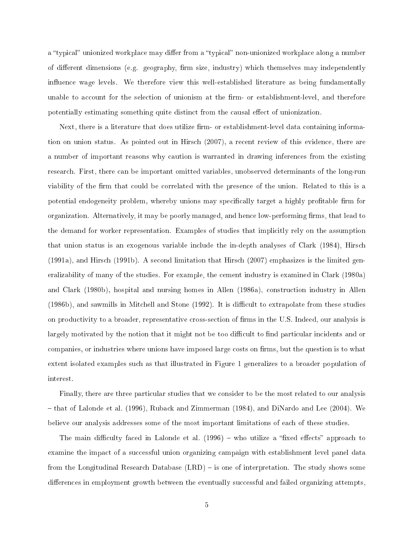a "typical" unionized workplace may differ from a "typical" non-unionized workplace along a number of different dimensions (e.g. geography, firm size, industry) which themselves may independently influence wage levels. We therefore view this well-established literature as being fundamentally unable to account for the selection of unionism at the firm- or establishment-level, and therefore potentially estimating something quite distinct from the causal effect of unionization.

Next, there is a literature that does utilize firm- or establishment-level data containing information on union status. As pointed out in Hirsch (2007), a recent review of this evidence, there are a number of important reasons why caution is warranted in drawing inferences from the existing resear
h. First, there an be important omitted variables, unobserved determinants of the long-run viability of the firm that could be correlated with the presence of the union. Related to this is a potential endogeneity problem, whereby unions may specifically target a highly profitable firm for organization. Alternatively, it may be poorly managed, and hence low-performing firms, that lead to the demand for worker representation. Examples of studies that implicitly rely on the assumption that union status is an exogenous variable include the in-depth analyses of Clark (1984), Hirsch (1991a), and Hirs
h (1991b). A se
ond limitation that Hirs
h (2007) emphasizes is the limited generalizability of many of the studies. For example, the ement industry is examined in Clark (1980a) and Clark (1980b), hospital and nursing homes in Allen (1986a), onstru
tion industry in Allen (1986b), and sawmills in Mitchell and Stone (1992). It is difficult to extrapolate from these studies on productivity to a broader, representative cross-section of firms in the U.S. Indeed, our analysis is largely motivated by the notion that it might not be too difficult to find particular incidents and or companies, or industries where unions have imposed large costs on firms, but the question is to what extent isolated examples su
h as that illustrated in Figure 1 generalizes to a broader population of interest.

Finally, there are three particular studies that we consider to be the most related to our analysis – that of Lalonde et al. (1996), Ruback and Zimmerman (1984), and DiNardo and Lee (2004). We believe our analysis addresses some of the most important limitations of ea
h of these studies.

The main difficulty faced in Lalonde et al.  $(1996)$  – who utilize a "fixed effects" approach to examine the impact of a successful union organizing campaign with establishment level panel data from the Longitudinal Research Database (LRD) – is one of interpretation. The study shows some differences in employment growth between the eventually successful and failed organizing attempts.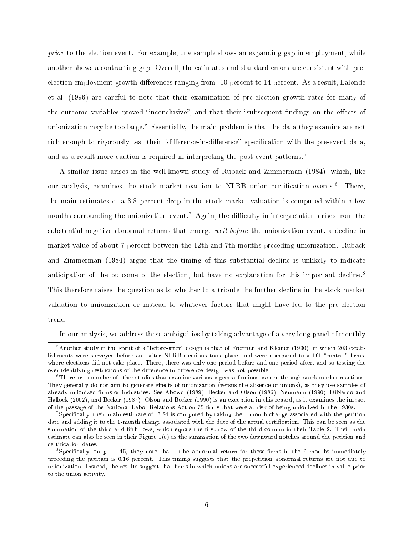prior to the election event. For example, one sample shows an expanding gap in employment, while another shows a ontra
ting gap. Overall, the estimates and standard errors are onsistent with preelection employment growth differences ranging from -10 percent to 14 percent. As a result, Lalonde et al. (1996) are areful to note that their examination of pre-ele
tion growth rates for many of the outcome variables proved "inconclusive", and that their "subsequent findings on the effects of unionization may be too large. Essentially, the main problem is that the data they examine are not rich enough to rigorously test their "difference-in-difference" specification with the pre-event data. and as a result more caution is required in interpreting the post-event patterns.<sup>5</sup>

A similar issue arises in the well-known study of Ruba
k and Zimmerman (1984), whi
h, like our anarysis, examines the stock market reaction to NLRD union certification events.6 There, the main estimates of a 3.8 percent drop in the stock market valuation is computed within a few months surrounding the unionization event.<sup>7</sup> Again, the difficulty in interpretation arises from the substantial negative abnormal returns that emerge well before the unionization event, a decline in market value of about 7 percent between the 12th and 7th months preceding unionization. Ruback and Zimmerman (1984) argue that the timing of this substantial decline is unlikely to indicate anticipation of the outcome of the election, but have no explanation for this important decline.<sup>8</sup> This therefore raises the question as to whether to attribute the further decline in the stock market valuation to unionization or instead to whatever factors that might have led to the pre-election trend.

In our analysis, we address these ambiguities by taking advantage of a very long panel of monthly

<sup>-</sup>Another study in the spirit of a "before-after" design is that of Freeman and Kleiner (1990), in which 203 establishments were surveyed before and after NLRB elections took place, and were compared to a 161 "control" firms, where elections did not take place. There, there was only one period before and one period after, and so testing the over-identifying restrictions of the difference-in-difference design was not possible.

There are a number of other studies that examine various aspects of unions as seen through stock market reactions. They generally do not aim to generate effects of unionization (versus the absence of unions), as they use samples of already unionized firms or industries. See Abowd (1989), Becker and Olson (1986), Neumann (1990), DiNardo and Hallock (2002), and Becker (1987). Olson and Becker (1990) is an exception in this regard, as it examines the impact of the passage of the National Labor Relations Act on 75 firms that were at risk of being unionized in the 1930s.

<sup>&#</sup>x27;Specincally, their main estimate of -3.84 is computed by taking the 1-month change associated with the petition date and adding it to the 1-month change associated with the date of the actual certification. This can be seen as the summation of the third and fifth rows, which equals the first row of the third column in their Table 2. Their main estimate can also be seen in their Figure 1(c) as the summation of the two downward notches around the petition and erti
ation dates.

Specifically, on p. 1145, they note that "[t]he abnormal return for these firms in the 6 months immediately pre
eding the petition is 0.16 per
ent. This timing suggests that the prepetition abnormal returns are not due to unionization. Instead, the results suggest that firms in which unions are successful experienced declines in value prior to the union activity."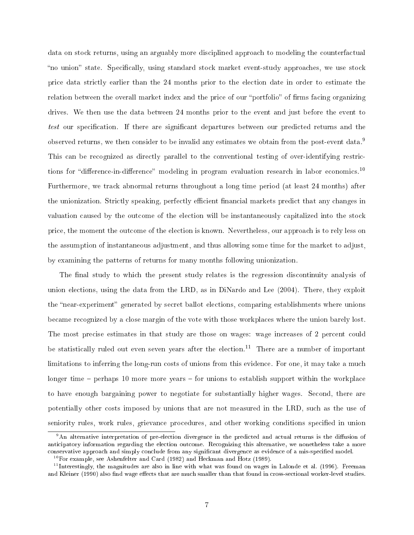data on stock returns, using an arguably more disciplined approach to modeling the counterfactual "no union" state. Specifically, using standard stock market event-study approaches, we use stock price data strictly earlier than the 24 months prior to the election date in order to estimate the relation between the overall market index and the price of our "portfolio" of firms facing organizing drives. We then use the data between 24 months prior to the event and just before the event to test our specification. If there are significant departures between our predicted returns and the observed returns, we then consider to be invalid any estimates we obtain from the post-event data.<sup>9</sup> This can be recognized as directly parallel to the conventional testing of over-identifying restrictions for "difference-in-difference" modeling in program evaluation research in labor economics.<sup>10</sup> Furthermore, we tra
k abnormal returns throughout a long time period (at least 24 months) after the unionization. Strictly speaking, perfectly efficient financial markets predict that any changes in valuation caused by the outcome of the election will be instantaneously capitalized into the stock price, the moment the outcome of the election is known. Nevertheless, our approach is to rely less on the assumption of instantaneous adjustment, and thus allowing some time for the market to adjust, by examining the patterns of returns for many months following unionization.

The final study to which the present study relates is the regression discontinuity analysis of union ele
tions, using the data from the LRD, as in DiNardo and Lee (2004). There, they exploit the "near-experiment" generated by secret ballot elections, comparing establishments where unions be
ame re
ognized by a lose margin of the vote with those workpla
es where the union barely lost. The most precise estimates in that study are those on wages: wage increases of 2 percent could be statistically ruled out even seven years after the election.<sup>11</sup> There are a number of important limitations to inferring the long-run costs of unions from this evidence. For one, it may take a much longer time  $-$  perhaps 10 more more years  $-$  for unions to establish support within the workplace to have enough bargaining power to negotiate for substantially higher wages. Second, there are potentially other osts imposed by unions that are not measured in the LRD, su
h as the use of seniority rules, work rules, grievance procedures, and other working conditions specified in union

<sup>.</sup> An alternative interpretation of pre-election divergence in the predicted and actual returns is the diffusion of anticipatory information regarding the election outcome. Recognizing this alternative, we nonetheless take a more conservative approach and simply conclude from any significant divergence as evidence of a mis-specified model.

 $10$  For example, see Ashenfelter and Card (1982) and Heckman and Hotz (1989).

<sup>11</sup> Interestingly, the magnitudes are also in line with what was found on wages in Lalonde et al. (1996). Freeman and Kleiner (1990) also find wage effects that are much smaller than that found in cross-sectional worker-level studies.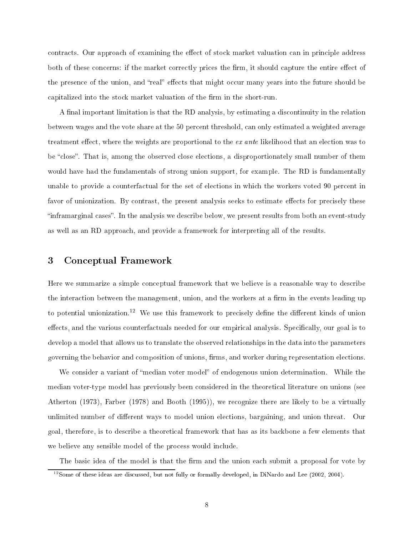contracts. Our approach of examining the effect of stock market valuation can in principle address both of these concerns: if the market correctly prices the firm, it should capture the entire effect of the presence of the union, and "real" effects that might occur many years into the future should be capitalized into the stock market valuation of the firm in the short-run.

A final important limitation is that the RD analysis, by estimating a discontinuity in the relation between wages and the vote share at the 50 percent threshold, can only estimated a weighted average treatment effect, where the weights are proportional to the  $ex$  ante likelihood that an election was to be "close". That is, among the observed close elections, a disproportionately small number of them would have had the fundamentals of strong union support, for example. The RD is fundamentally unable to provide a counterfactual for the set of elections in which the workers voted 90 percent in favor of unionization. By contrast, the present analysis seeks to estimate effects for precisely these "inframarginal cases". In the analysis we describe below, we present results from both an event-study as well as an RD approa
h, and provide a framework for interpreting all of the results.

#### 3 Con
eptual Framework

Here we summarize a simple conceptual framework that we believe is a reasonable way to describe the interaction between the management, union, and the workers at a firm in the events leading up to potential unionization.<sup>12</sup> We use this framework to precisely define the different kinds of union effects, and the various counterfactuals needed for our empirical analysis. Specifically, our goal is to develop a model that allows us to translate the observed relationships in the data into the parameters governing the behavior and composition of unions, firms, and worker during representation elections.

We consider a variant of "median voter model" of endogenous union determination. While the median voter-type model has previously been onsidered in the theoreti
al literature on unions (see Atherton (1973), Farber (1978) and Booth (1995)), we re
ognize there are likely to be a virtually unlimited number of different ways to model union elections, bargaining, and union threat. Our goal, therefore, is to des
ribe a theoreti
al framework that has as its ba
kbone a few elements that we believe any sensible model of the process would include.

The basic idea of the model is that the firm and the union each submit a proposal for vote by

<sup>&</sup>lt;sup>12</sup>Some of these ideas are discussed, but not fully or formally developed, in DiNardo and Lee (2002, 2004).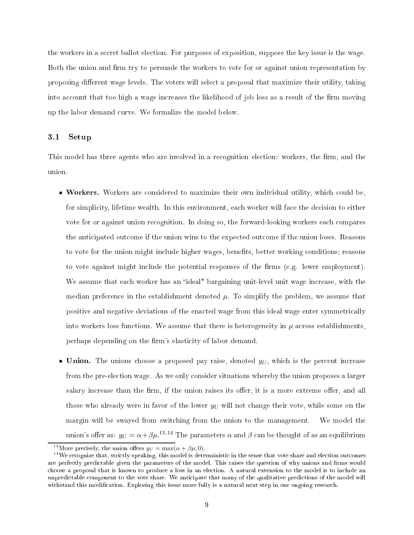the workers in a se
ret ballot ele
tion. For purposes of exposition, suppose the key issue is the wage. Both the union and firm try to persuade the workers to vote for or against union representation by proposing different wage levels. The voters will select a proposal that maximize their utility, taking into account that too high a wage increases the likelihood of job loss as a result of the firm moving up the labor demand urve. We formalize the model below.

### 3.1 Setup

This model has three agents who are involved in a recognition election: workers, the firm, and the union.

- Workers. Workers are considered to maximize their own individual utility, which could be, for simplicity, lifetime wealth. In this environment, each worker will face the decision to either vote for or against union re
ognition. In doing so, the forward-looking workers ea
h ompares the anti
ipated out
ome if the union wins to the expe
ted out
ome if the union loses. Reasons to vote for the union might include higher wages, benefits, better working conditions; reasons to vote against might include the potential responses of the firms (e.g. lower employment). We assume that each worker has an "ideal" bargaining unit-level unit wage increase, with the median preference in the establishment denoted  $\mu$ . To simplify the problem, we assume that positive and negative deviations of the enacted wage from this ideal wage enter symmetrically into workers loss functions. We assume that there is heterogeneity in  $\mu$  across establishments. perhaps depending on the firm's elasticity of labor demand.
- Union. The unions choose a proposed pay raise, denoted  $y_U$ , which is the percent increase from the pre-election wage. As we only consider situations whereby the union proposes a larger salary increase than the firm, if the union raises its offer, it is a more extreme offer, and all those who already were in favor of the lower  $y_U$  will not change their vote, while some on the margin will be swayed from swit
hing from the union to the management. We model the union's offer as:  $y_U = \alpha + \beta \mu$ .<sup>13,14</sup> The parameters  $\alpha$  and  $\beta$  can be thought of as an equilibrium

<sup>&</sup>lt;sup>13</sup>More precisely, the union offers  $y_U = \max(\alpha + \beta \mu, 0)$ .

<sup>&</sup>lt;sup>14</sup>We recognize that, strictly speaking, this model is deterministic in the sense that vote share and election outcomes are perfectly predictable given the parameters of the model. This raises the question of why unions and firms would choose a proposal that is known to produce a loss in an election. A natural extension to the model is to include an unpredictable component to the vote share. We anticipate that many of the qualitative predictions of the model will withstand this modification. Exploring this issue more fully is a natural next step in our ongoing research.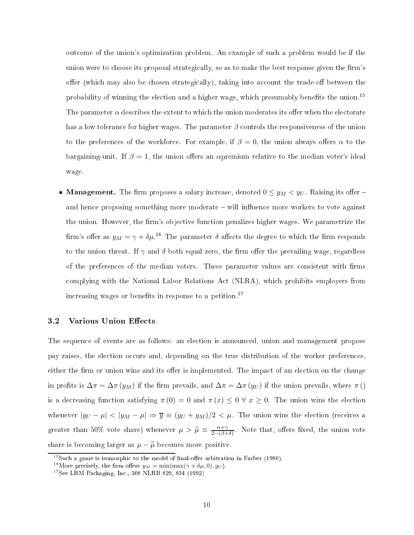out
ome of the union's optimization problem. An example of su
h a problem would be if the union were to choose its proposal strategically, so as to make the best response given the firm's offer (which may also be chosen strategically), taking into account the trade-off between the probability of winning the election and a higher wage, which presumably benefits the union.<sup>15</sup> The parameter  $\alpha$  describes the extent to which the union moderates its offer when the electorate has a low tolerance for higher wages. The parameter  $\beta$  controls the responsiveness of the union to the preferences of the workforce. For example, if  $\beta = 0$ , the union always offers  $\alpha$  to the bargaining-unit. If  $\beta = 1$ , the union offers an apremium relative to the median voter's ideal wage.

• Management. The firm proposes a salary increase, denoted  $0 \le y_M < y_U$ . Raising its offer – and hence proposing something more moderate – will influence more workers to vote against the union. However, the firm's objective function penalizes higher wages. We parametrize the firm's offer as  $y_M = \gamma + \delta \mu$ .<sup>16</sup> The parameter  $\delta$  affects the degree to which the firm responds to the union threat. If  $\gamma$  and  $\delta$  both equal zero, the firm offer the prevailing wage, regardless of the preferences of the median voters. These parameter values are consistent with firms complying with the National Labor Relations Act (NLRA), which prohibits employers from increasing wages or benefits in response to a petition.<sup>17</sup>

#### $3.2$ Various Union Effects

The sequence of events are as follows: an election is announced, union and management propose pay raises, the election occurs and, depending on the true distribution of the worker preferences. either the firm or union wins and its offer is implemented. The impact of an election on the change in profits is  $\Delta \pi = \Delta \pi (y_M)$  if the firm prevails, and  $\Delta \pi = \Delta \pi (y_U)$  if the union prevails, where  $\pi$  () is a decreasing function satisfying  $\pi(0) = 0$  and  $\pi(x) \leq 0 \forall x \geq 0$ . The union wins the election whenever  $|y_U - \mu| < |y_M - \mu| \Rightarrow \overline{y} \equiv (y_U + y_M)/2 < \mu$ . The union wins the election (receives a greater than 50% vote share) whenever  $\mu > \widetilde{\mu} \equiv \frac{\alpha + \gamma}{2 - (\beta + \gamma)}$  $2-(\beta+\delta)$ . Trote that, oners fixed, the union vote share is becoming larger as  $\mu - \tilde{\mu}$  becomes more positive.

 $15$ Such a game is isomorphic to the model of final-offer arbitration in Farber (1980).

<sup>&</sup>lt;sup>16</sup>More precisely, the firm offers  $y_M = \min(\max(\gamma + \delta \mu, 0), y_U)$ .

 $17$ See LRM Packaging, Inc., 308 NLRB 829, 834 (1992)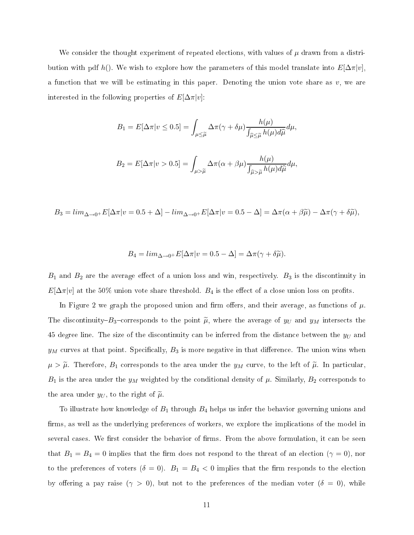We consider the thought experiment of repeated elections, with values of  $\mu$  drawn from a distribution with pdf h(). We wish to explore how the parameters of this model translate into  $E[\Delta \pi |v]$ . <sup>a</sup> fun
tion that we will be estimating in this paper. Denoting the union vote share as v, we are interested in the following properties of  $E[\Delta \pi |v]$ :

$$
B_1 = E[\Delta \pi | v \le 0.5] = \int_{\mu \le \widetilde{\mu}} \Delta \pi (\gamma + \delta \mu) \frac{h(\mu)}{\int_{\widehat{\mu} \le \widetilde{\mu}} h(\mu) d\widehat{\mu}} d\mu,
$$

$$
B_2 = E[\Delta \pi | v > 0.5] = \int_{\mu > \widetilde{\mu}} \Delta \pi(\alpha + \beta \mu) \frac{h(\mu)}{\int_{\widehat{\mu} > \widetilde{\mu}} h(\mu) d\widehat{\mu}} d\mu,
$$

 $B_3 = lim_{\Delta \rightarrow 0^+} E[\Delta \pi |v=0.5+\Delta] - lim_{\Delta \rightarrow 0^+} E[\Delta \pi |v=0.5-\Delta] = \Delta \pi (\alpha+\beta \widetilde{\mu}) - \Delta \pi (\gamma+\delta \widetilde{\mu}),$ 

$$
B_4 = \lim_{\Delta \to 0^+} E[\Delta \pi | v = 0.5 - \Delta] = \Delta \pi (\gamma + \delta \widetilde{\mu}).
$$

 $B_1$  and  $B_2$  are the average effect of a union loss and win, respectively.  $B_3$  is the discontinuity in  $E[\Delta \pi |v]$  at the 50% union vote share threshold.  $B_4$  is the effect of a close union loss on profits.

In Figure 2 we graph the proposed union and firm offers, and their average, as functions of  $\mu$ . The discontinuity– $B_3$ –corresponds to the point  $\widetilde{\mu}$ , where the average of  $y_U$  and  $y_M$  intersects the 45 degree line. The size of the discontinuity can be inferred from the distance between the  $y_U$  and  $y_M$  curves at that point. Specifically,  $B_3$  is more negative in that difference. The union wins when  $\mu > \tilde{\mu}$ . Therefore,  $B_1$  corresponds to the area under the  $y_M$  curve, to the left of  $\tilde{\mu}$ . In particular,  $B_1$  is the area under the  $y_M$  weighted by the conditional density of  $\mu$ . Similarly,  $B_2$  corresponds to the area under  $y_U$ , to the right of  $\widetilde{\mu}$ .

To illustrate how knowledge of  $B_1$  through  $B_4$  helps us infer the behavior governing unions and firms, as well as the underlying preferences of workers, we explore the implications of the model in several cases. We first consider the behavior of firms. From the above formulation, it can be seen that  $B_1 = B_4 = 0$  implies that the firm does not respond to the threat of an election ( $\gamma = 0$ ), nor to the preferences of voters  $(\delta = 0)$ .  $B_1 = B_4 < 0$  implies that the firm responds to the election by offering a pay raise  $(\gamma > 0)$ , but not to the preferences of the median voter  $(\delta = 0)$ , while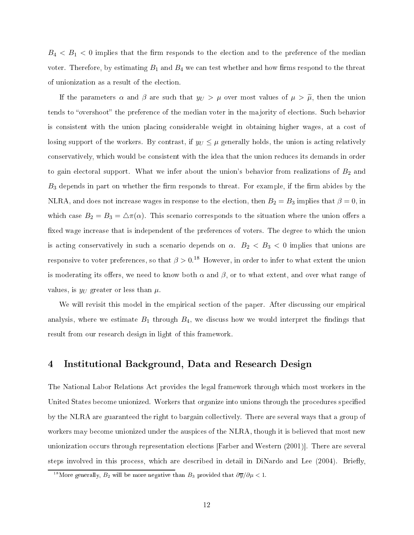$B_4 < B_1 < 0$  implies that the firm responds to the election and to the preference of the median voter. Therefore, by estimating  $B_1$  and  $B_4$  we can test whether and how firms respond to the threat of unionization as a result of the election.

If the parameters  $\alpha$  and  $\beta$  are such that  $y_U > \mu$  over most values of  $\mu > \tilde{\mu}$ , then the union tends to "overshoot" the preference of the median voter in the majority of elections. Such behavior is consistent with the union placing considerable weight in obtaining higher wages, at a cost of losing support of the workers. By contrast, if  $y_U \leq \mu$  generally holds, the union is acting relatively conservatively, which would be consistent with the idea that the union reduces its demands in order to gain electoral support. What we infer about the union's behavior from realizations of  $B_2$  and  $B_3$  depends in part on whether the firm responds to threat. For example, if the firm abides by the NLRA, and does not increase wages in response to the election, then  $B_2=B_3$  implies that  $\beta=0,$  in which case  $B_2 = B_3 = \Delta \pi(\alpha)$ . This scenario corresponds to the situation where the union offers a fixed wage increase that is independent of the preferences of voters. The degree to which the union is acting conservatively in such a scenario depends on  $\alpha$ .  $B_2 < B_3 < 0$  implies that unions are responsive to voter preferences, so that  $\beta > 0.^{\text{18}}$  However, in order to infer to what extent the union is moderating its offers, we need to know both  $\alpha$  and  $\beta$ , or to what extent, and over what range of values, is  $y_U$  greater or less than  $\mu$ .

We will revisit this model in the empirical section of the paper. After discussing our empirical analysis, where we estimate  $B_1$  through  $B_4$ , we discuss how we would interpret the findings that result from our resear
h design in light of this framework.

#### 4Institutional Ba
kground, Data and Resear
h Design

The National Labor Relations A
t provides the legal framework through whi
h most workers in the United States become unionized. Workers that organize into unions through the procedures specified by the NLRA are guaranteed the right to bargain olle
tively. There are several ways that a group of workers may become unionized under the auspices of the NLRA, though it is believed that most new unionization occurs through representation elections [Farber and Western (2001)]. There are several steps involved in this process, which are described in detail in DiNardo and Lee (2004). Briefly.

<sup>&</sup>lt;sup>18</sup>More generally,  $B_2$  will be more negative than  $B_3$  provided that  $\partial \overline{y}/\partial \mu < 1$ .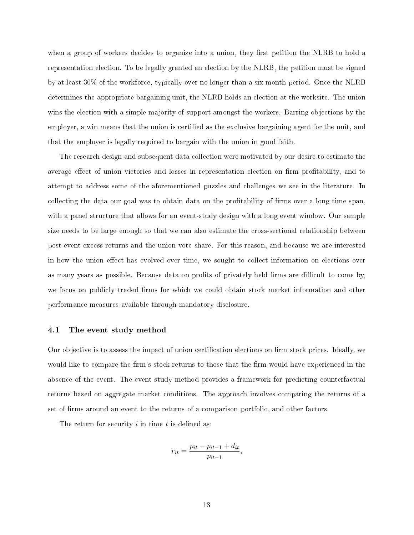when a group of workers decides to organize into a union, they first petition the NLRB to hold a representation election. To be legally granted an election by the NLRB, the petition must be signed by at least 30% of the workforce, typically over no longer than a six month period. Once the NLRB determines the appropriate bargaining unit, the NLRB holds an election at the worksite. The union wins the election with a simple majority of support amongst the workers. Barring objections by the employer, a win means that the union is certified as the exclusive bargaining agent for the unit, and that the employer is legally required to bargain with the union in good faith.

The resear
h design and subsequent data olle
tion were motivated by our desire to estimate the average effect of union victories and losses in representation election on firm profitability, and to attempt to address some of the aforementioned puzzles and hallenges we see in the literature. In collecting the data our goal was to obtain data on the profitability of firms over a long time span. with a panel structure that allows for an event-study design with a long event window. Our sample size needs to be large enough so that we can also estimate the cross-sectional relationship between post-event ex
ess returns and the union vote share. For this reason, and be
ause we are interested in how the union effect has evolved over time, we sought to collect information on elections over as many years as possible. Because data on profits of privately held firms are difficult to come by, we focus on publicly traded firms for which we could obtain stock market information and other performan
e measures available through mandatory dis
losure.

#### 4.1 The event study method

Our objective is to assess the impact of union certification elections on firm stock prices. Ideally, we would like to compare the firm's stock returns to those that the firm would have experienced in the absence of the event. The event study method provides a framework for predicting counterfactual returns based on aggregate market onditions. The approa
h involves omparing the returns of a set of firms around an event to the returns of a comparison portfolio, and other factors.

The return for security  $i$  in time  $t$  is defined as:

$$
r_{it} = \frac{p_{it} - p_{it-1} + d_{it}}{p_{it-1}},
$$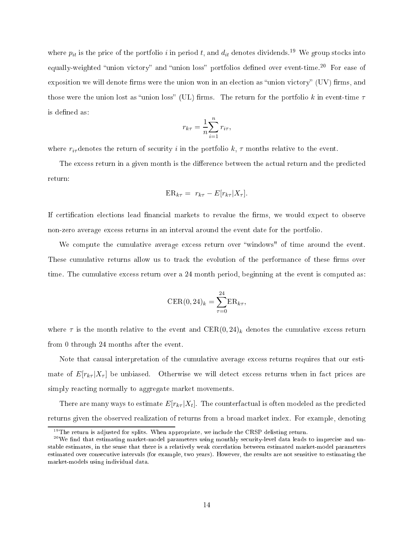where  $p_{it}$  is the price of the portfolio i in period t, and  $d_{it}$  denotes dividends.<sup>19</sup> We group stocks into equally-weighted "union victory" and "union loss" portfolios defined over event-time.<sup>20</sup> For ease of exposition we will denote firms were the union won in an election as "union victory"  $(UV)$  firms, and those were the union lost as "union loss" (UL) firms. The return for the portfolio k in event-time  $\tau$ is defined as:

$$
r_{k\tau} = \frac{1}{n} \sum_{i=1}^{n} r_{i\tau},
$$

where  $r_{i\tau}$  denotes the return of security i in the portfolio k,  $\tau$  months relative to the event.

The excess return in a given month is the difference between the actual return and the predicted return:

$$
ER_{k\tau} = r_{k\tau} - E[r_{k\tau}|X_{\tau}].
$$

If certification elections lead financial markets to revalue the firms, we would expect to observe non-zero average ex
ess returns in an interval around the event date for the portfolio.

We compute the cumulative average excess return over "windows" of time around the event. These cumulative returns allow us to track the evolution of the performance of these firms over time. The cumulative excess return over a 24 month period, beginning at the event is computed as:

$$
CER(0, 24)_k = \sum_{\tau=0}^{24} ER_{k\tau},
$$

where  $\tau$  is the month relative to the event and  $CER(0, 24)_k$  denotes the cumulative excess return from 0 through 24 months after the event.

Note that causal interpretation of the cumulative average excess returns requires that our estimate of  $E[r_{k\tau}|X_{\tau}]$  be unbiased. Otherwise we will detect excess returns when in fact prices are simply rea
ting normally to aggregate market movements.

There are many ways to estimate  $E[r_{k\tau}|X_t].$  The counterfactual is often modeled as the predicted returns given the observed realization of returns from a broad market index. For example, denoting

 $19$ The return is adjusted for splits. When appropriate, we include the CRSP delisting return.

 $^{20}\text{We find that estimating market-model parameters using monthly security-level data leads to imprecise and un-}$ stable estimates, in the sense that there is a relatively weak orrelation between estimated market-model parameters estimated over consecutive intervals (for example, two years). However, the results are not sensitive to estimating the market-models using individual data.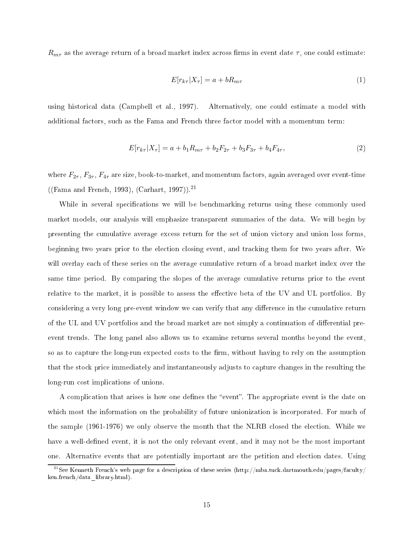$R_{m\tau}$  as the average return of a broad market index across firms in event date  $\tau$ , one could estimate:

$$
E[r_{k\tau}|X_{\tau}] = a + bR_{m\tau} \tag{1}
$$

using historical data (Campbell et al., 1997). Alternatively, one could estimate a model with additional fa
tors, su
h as the Fama and Fren
h three fa
tor model with a momentum term:

$$
E[r_{k\tau}|X_{\tau}] = a + b_1 R_{m\tau} + b_2 F_{2\tau} + b_3 F_{3\tau} + b_4 F_{4\tau}, \tag{2}
$$

where  $F_{2\tau}$ ,  $F_{3\tau}$ ,  $F_{4\tau}$  are size, book-to-market, and momentum factors, again averaged over event-time ((Fama and Fren
h, 1993), (Carhart, 1997)).<sup>21</sup>

While in several specifications we will be benchmarking returns using these commonly used market models, our analysis will emphasize transparent summaries of the data. We will begin by presenting the cumulative average excess return for the set of union victory and union loss forms, beginning two years prior to the election closing event, and tracking them for two years after. We will overlay each of these series on the average cumulative return of a broad market index over the same time period. By comparing the slopes of the average cumulative returns prior to the event relative to the market, it is possible to assess the effective beta of the UV and UL portfolios. By considering a very long pre-event window we can verify that any difference in the cumulative return of the UL and UV portfolios and the broad market are not simply a continuation of differential preevent trends. The long panel also allows us to examine returns several months beyond the event, so as to capture the long-run expected costs to the firm, without having to rely on the assumption that the sto
k pri
e immediately and instantaneously adjusts to apture hanges in the resulting the long-run ost impli
ations of unions.

A complication that arises is how one defines the "event". The appropriate event is the date on which most the information on the probability of future unionization is incorporated. For much of the sample (1961-1976) we only observe the month that the NLRB closed the election. While we have a well-defined event, it is not the only relevant event, and it may not be the most important one. Alternative events that are potentially important are the petition and election dates. Using

 $^{21}\rm{See}$ Kenneth French's web page for a description of these series (http://mba.tuck.dartmouth.edu/pages/faculty/ ken.fren
h/data\_library.html).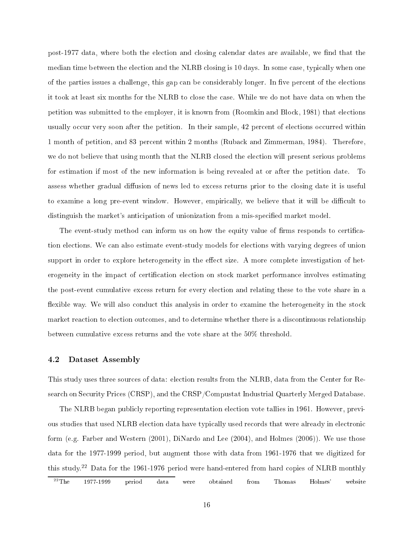post-1977 data, where both the election and closing calendar dates are available, we find that the median time between the election and the NLRB closing is 10 days. In some case, typically when one of the parties issues a challenge, this gap can be considerably longer. In five percent of the elections it took at least six months for the NLRB to close the case. While we do not have data on when the petition was submitted to the employer, it is known from (Roomkin and Block, 1981) that elections usually occur very soon after the petition. In their sample, 42 percent of elections occurred within 1 month of petition, and 83 percent within 2 months (Ruback and Zimmerman, 1984). Therefore, we do not believe that using month that the NLRB closed the election will present serious problems for estimation if most of the new information is being revealed at or after the petition date. To assess whether gradual diffusion of news led to excess returns prior to the closing date it is useful to examine a long pre-event window. However, empirically, we believe that it will be difficult to distinguish the market's anticipation of unionization from a mis-specified market model.

The event-study method can inform us on how the equity value of firms responds to certification ele
tions. We an also estimate event-study models for ele
tions with varying degrees of union support in order to explore heterogeneity in the effect size. A more complete investigation of heterogeneity in the impact of certification election on stock market performance involves estimating the post-event umulative ex
ess return for every ele
tion and relating these to the vote share in a flexible way. We will also conduct this analysis in order to examine the heterogeneity in the stock market reaction to election outcomes, and to determine whether there is a discontinuous relationship between umulative ex
ess returns and the vote share at the 50% threshold.

### 4.2 Dataset Assembly

This study uses three sources of data: election results from the NLRB, data from the Center for Research on Security Prices (CRSP), and the CRSP/Compustat Industrial Quarterly Merged Database.

The NLRB began publicly reporting representation election vote tallies in 1961. However, previous studies that used NLRB election data have typically used records that were already in electronic form (e.g. Farber and Western (2001), DiNardo and Lee (2004), and Holmes (2006)). We use those data for the 1977-1999 period, but augment those with data from 1961-1976 that we digitized for this study. <sup>22</sup> Data for the 1961-1976 period were hand-entered from hard opies of NLRB monthly

 $^{22}\mathrm{The}$   $1977\text{-}1999$  period data were obtained from Thomas Holmes' website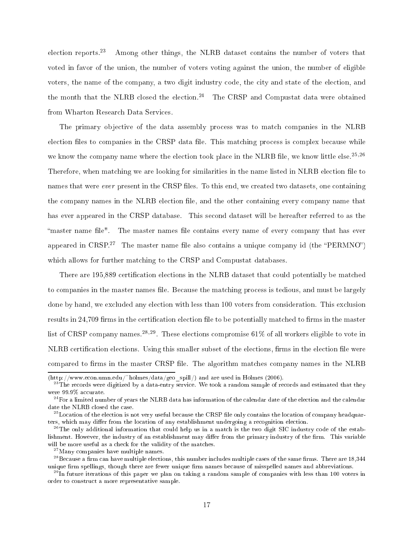election reports.<sup>23</sup> Among other things, the NLRB dataset contains the number of voters that voted in favor of the union, the number of voters voting against the union, the number of eligible voters, the name of the company, a two digit industry code, the city and state of the election, and the month that the NLRB closed the election.<sup>24</sup> The CRSP and Compustat data were obtained from Wharton Resear
h Data Servi
es.

The primary objective of the data assembly process was to match companies in the NLRB election files to companies in the CRSP data file. This matching process is complex because while we know the company name where the election took place in the NLRB file, we know little else.<sup>25,26</sup> Therefore, when matching we are looking for similarities in the name listed in NLRB election file to names that were *ever* present in the CRSP files. To this end, we created two datasets, one containing the company names in the NLRB election file, and the other containing every company name that has ever appeared in the CRSP database. This second dataset will be hereafter referred to as the "master name file". The master names file contains every name of every company that has ever appeared in  $\cup$ RSP. $^{-1}$  The master name life also contains a unique company id (the PERMINO) which allows for further matching to the CRSP and Compustat databases.

There are 195,889 certification elections in the NLRB dataset that could potentially be matched to companies in the master names file. Because the matching process is tedious, and must be largely done by hand, we excluded any election with less than 100 voters from consideration. This exclusion results in 24,709 firms in the certification election file to be potentially matched to firms in the master list of CRSP company names.<sup>28,29</sup>. These elections compromise 61% of all workers eligible to vote in NLRB certification elections. Using this smaller subset of the elections, firms in the election file were compared to firms in the master CRSP file. The algorithm matches company names in the NLRB

<sup>(</sup>http://www.e
on.umn.edu/~holmes/data/geo\_spill/) and are used in Holmes (2006).

<sup>&</sup>lt;sup>23</sup>The records were digitized by a data-entry service. We took a random sample of records and estimated that they were 99.9% accurate.

<sup>&</sup>lt;sup>24</sup>For a limited number of years the NLRB data has information of the calendar date of the election and the calendar date the NLRB closed the case.

<sup>&</sup>lt;sup>25</sup>Location of the election is not very useful because the CRSP file only contains the location of company headquarters, which may differ from the location of any establishment undergoing a recognition election.

<sup>&</sup>lt;sup>26</sup>The only additional information that could help us in a match is the two digit SIC industry code of the establishment. However, the industry of an establishment may differ from the primary industry of the firm. This variable will be more useful as a check for the validity of the matches.

<sup>27</sup>Many ompanies have multiple names.

 $^{28}$ Because a firm can have multiple elections, this number includes multiple cases of the same firms. There are 18,344 unique firm spellings, though there are fewer unique firm names because of misspelled names and abbreviations.

when tuture iterations of this paper we plan on taking a random sample of companies with less than 100 voters in the conditional conditions of the conditions of the conditions of the plane of  $\alpha$ order to onstru
t a more representative sample.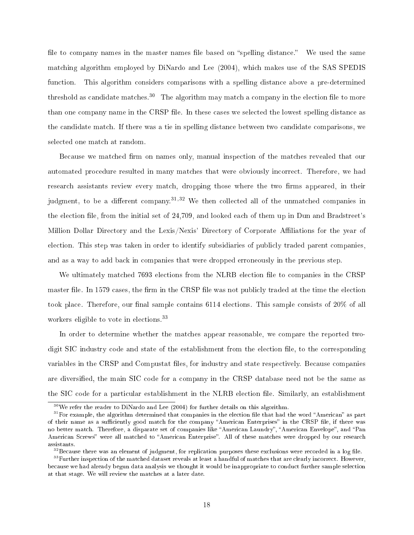file to company names in the master names file based on "spelling distance." We used the same mat
hing algorithm employed by DiNardo and Lee (2004), whi
h makes use of the SAS SPEDIS function. This algorithm considers comparisons with a spelling distance above a pre-determined threshold as candidate matches.<sup>30</sup> The algorithm may match a company in the election file to more than one company name in the CRSP file. In these cases we selected the lowest spelling distance as the andidate mat
h. If there was a tie in spelling distan
e between two andidate omparisons, we sele
ted one mat
h at random.

Because we matched firm on names only, manual inspection of the matches revealed that our automated procedure resulted in many matches that were obviously incorrect. Therefore, we had research assistants review every match, dropping those where the two firms appeared, in their judgment, to be a different company.<sup>31,32</sup> We then collected all of the unmatched companies in the election file, from the initial set of 24,709, and looked each of them up in Dun and Bradstreet's Million Dollar Directory and the Lexis/Nexis' Directory of Corporate Affiliations for the year of election. This step was taken in order to identify subsidiaries of publicly traded parent companies, and as a way to add back in companies that were dropped erroneously in the previous step.

We ultimately matched 7693 elections from the NLRB election file to companies in the CRSP master file. In 1579 cases, the firm in the CRSP file was not publicly traded at the time the election took place. Therefore, our final sample contains  $6114$  elections. This sample consists of  $20\%$  of all workers eligible to vote in elections.<sup>33</sup>

In order to determine whether the matches appear reasonable, we compare the reported twodigit SIC industry code and state of the establishment from the election file, to the corresponding variables in the CRSP and Compustat files, for industry and state respectively. Because companies are diversified, the main SIC code for a company in the CRSP database need not be the same as the SIC code for a particular establishment in the NLRB election file. Similarly, an establishment

 $30$ We refer the reader to DiNardo and Lee (2004) for further details on this algorithm.

 $31$  For example, the algorithm determined that companies in the election file that had the word "American" as part of their name as a sufficiently good match for the company "American Enterprises" in the CRSP file, if there was no better match. Therefore, a disparate set of companies like "American Laundry", "American Envelope", and "Pan American Screws" were all matched to "American Enterprise". All of these matches were dropped by our research assistants.

 $32$ Because there was an element of judgment, for replication purposes these exclusions were recorded in a log file.

<sup>&</sup>lt;sup>33</sup> Further inspection of the matched dataset reveals at least a handful of matches that are clearly incorrect. However, because we had already begun data analysis we thought it would be inappropriate to conduct further sample selection at that stage. We will review the mat
hes at a later date.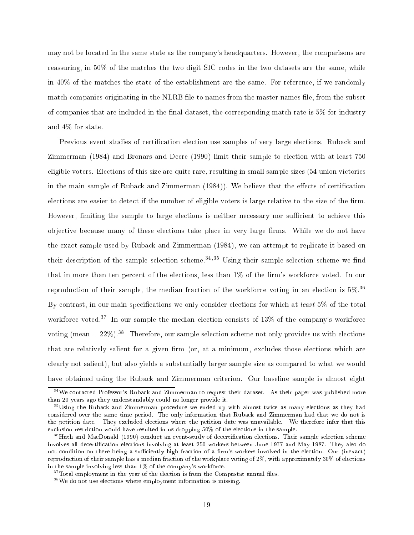may not be lo
ated in the same state as the ompany's headquarters. However, the omparisons are reassuring, in 50% of the matches the two digit SIC codes in the two datasets are the same, while in 40% of the matches the state of the establishment are the same. For reference, if we randomly match companies originating in the NLRB file to names from the master names file, from the subset of companies that are included in the final dataset, the corresponding match rate is  $5\%$  for industry and 4% for state.

Previous event studies of certification election use samples of very large elections. Ruback and Zimmerman (1984) and Bronars and Deere (1990) limit their sample to ele
tion with at least 750 eligible voters. Elections of this size are quite rare, resulting in small sample sizes (54 union victories in the main sample of Ruback and Zimmerman (1984)). We believe that the effects of certification elections are easier to detect if the number of eligible voters is large relative to the size of the firm. However, limiting the sample to large elections is neither necessary nor sufficient to achieve this objective because many of these elections take place in very large firms. While we do not have the exa
t sample used by Ruba
k and Zimmerman (1984), we an attempt to repli
ate it based on their description of the sample selection scheme.<sup>34,35</sup> Using their sample selection scheme we find that in more than ten percent of the elections, less than 1% of the firm's workforce voted. In our reproduction of their sample, the median fraction of the workforce voting in an election is  $5\%$ .<sup>36</sup> By contrast, in our main specifications we only consider elections for which at *least*  $5\%$  of the total workforce voted.<sup>37</sup> In our sample the median election consists of 13% of the company's workforce voting (mean  $= 22\%$ ).<sup>38</sup> Therefore, our sample selection scheme not only provides us with elections that are relatively salient for a given firm (or, at a minimum, excludes those elections which are clearly not salient), but also yields a substantially larger sample size as compared to what we would have obtained using the Ruback and Zimmerman criterion. Our baseline sample is almost eight

<sup>&</sup>lt;sup>34</sup>We contacted Professor's Ruback and Zimmerman to request their dataset. As their paper was published more than 20 years ago they understandably ould no longer provide it.

<sup>&</sup>lt;sup>35</sup>Using the Ruback and Zimmerman procedure we ended up with almost twice as many elections as they had considered over the same time period. The only information that Ruback and Zimmerman had that we do not is the petition date. They excluded elections where the petition date was unavailable. We therefore infer that this exclusion restriction would have resulted in us dropping 50% of the elections in the sample.

<sup>&</sup>lt;sup>36</sup>Huth and MacDonald (1990) conduct an event-study of decertification elections. Their sample selection scheme involves all decertification elections involving at least 250 workers between June 1977 and May 1987. They also do not condition on there being a sufficiently high fraction of a firm's workers involved in the election. Our (inexact) reproduction of their sample has a median fraction of the workplace voting of 2%, with approximately 30% of elections in the sample involving less than 1% of the ompany's workfor
e.

 $37$ Total employment in the year of the election is from the Compustat annual files.

<sup>38</sup>We do not use ele
tions where employment information is missing.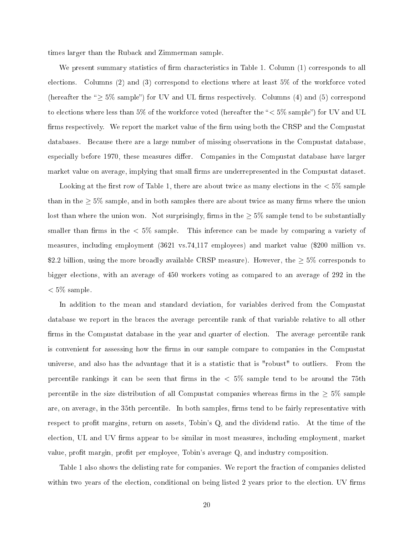times larger than the Ruba
k and Zimmerman sample.

We present summary statistics of firm characteristics in Table 1. Column  $(1)$  corresponds to all elections. Columns (2) and (3) correspond to elections where at least 5% of the workforce voted (hereafter the " $\geq$  5% sample") for UV and UL firms respectively. Columns (4) and (5) correspond to elections where less than 5% of the workforce voted (hereafter the " $<$  5% sample") for UV and UL firms respectively. We report the market value of the firm using both the CRSP and the Compustat databases. Because there are a large number of missing observations in the Compustat database. especially before 1970, these measures differ. Companies in the Compustat database have larger market value on average, implying that small firms are underrepresented in the Compustat dataset.

Looking at the first row of Table 1, there are about twice as many elections in the  $< 5\%$  sample than in the  $\geq 5\%$  sample, and in both samples there are about twice as many firms where the union lost than where the union won. Not surprisingly, firms in the  $\geq 5\%$  sample tend to be substantially smaller than firms in the  $< 5\%$  sample. This inference can be made by comparing a variety of measures, in
luding employment (3621 vs.74,117 employees) and market value (\$200 million vs. \$2.2 billion, using the more broadly available CRSP measure). However, the  $\geq 5\%$  corresponds to bigger ele
tions, with an average of 450 workers voting as ompared to an average of 292 in the  $< 5\%$  sample.

In addition to the mean and standard deviation, for variables derived from the Compustat database we report in the braces the average percentile rank of that variable relative to all other firms in the Compustat database in the year and quarter of election. The average percentile rank is convenient for assessing how the firms in our sample compare to companies in the Compustat universe, and also has the advantage that it is a statistic that is "robust" to outliers. From the percentile rankings it can be seen that firms in the  $< 5\%$  sample tend to be around the 75th percentile in the size distribution of all Compustat companies whereas firms in the  $\geq 5\%$  sample are, on average, in the 35th percentile. In both samples, firms tend to be fairly representative with respect to profit margins, return on assets, Tobin's Q, and the dividend ratio. At the time of the election, UL and UV firms appear to be similar in most measures, including employment, market value, profit margin, profit per employee, Tobin's average  $Q$ , and industry composition.

Table 1 also shows the delisting rate for companies. We report the fraction of companies delisted within two years of the election, conditional on being listed 2 years prior to the election. UV firms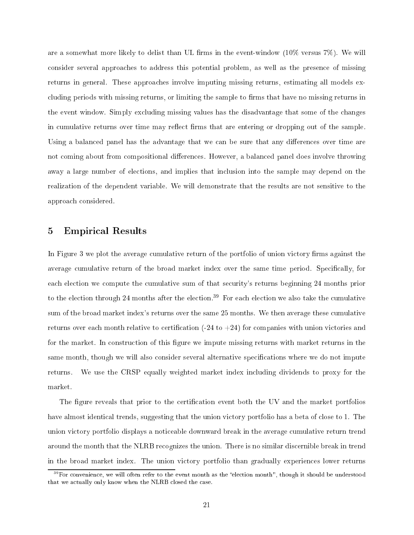are a somewhat more likely to delist than UL firms in the event-window  $(10\% \text{ versus } 7\%)$ . We will consider several approaches to address this potential problem, as well as the presence of missing returns in general. These approaches involve imputing missing returns, estimating all models excluding periods with missing returns, or limiting the sample to firms that have no missing returns in the event window. Simply ex
luding missing values has the disadvantage that some of the hanges in cumulative returns over time may reflect firms that are entering or dropping out of the sample. Using a balanced panel has the advantage that we can be sure that any differences over time are not coming about from compositional differences. However, a balanced panel does involve throwing away a large number of elections, and implies that inclusion into the sample may depend on the realization of the dependent variable. We will demonstrate that the results are not sensitive to the approa
h onsidered.

## 5 Empirical Results

In Figure 3 we plot the average cumulative return of the portfolio of union victory firms against the average cumulative return of the broad market index over the same time period. Specifically, for each election we compute the cumulative sum of that security's returns beginning 24 months prior to the election through 24 months after the election.<sup>39</sup> For each election we also take the cumulative sum of the broad market index's returns over the same 25 months. We then average these umulative returns over each month relative to certification  $(-24 \text{ to } +24)$  for companies with union victories and for the market. In construction of this figure we impute missing returns with market returns in the same month, though we will also consider several alternative specifications where we do not impute returns. We use the CRSP equally weighted market index in
luding dividends to proxy for the market.

The figure reveals that prior to the certification event both the UV and the market portfolios have almost identical trends, suggesting that the union victory portfolio has a beta of close to 1. The union victory portfolio displays a noticeable downward break in the average cumulative return trend around the month that the NLRB re
ognizes the union. There is no similar dis
ernible break in trend in the broad market index. The union vi
tory portfolio than gradually experien
es lower returns

<sup>&</sup>lt;sup>39</sup>For convenience, we will often refer to the event month as the "election month", though it should be understood that we actually only know when the NLRB closed the case.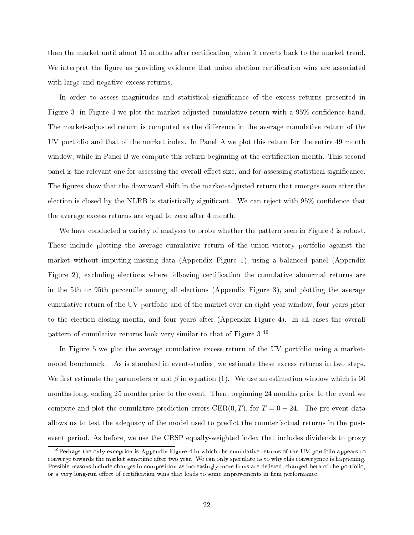than the market until about 15 months after certification, when it reverts back to the market trend. We interpret the figure as providing evidence that union election certification wins are associated with large and negative excess returns.

In order to assess magnitudes and statistical significance of the excess returns presented in Figure 3, in Figure 4 we plot the market-adjusted cumulative return with a 95% confidence band. The market-adjusted return is computed as the difference in the average cumulative return of the UV portfolio and that of the market index. In Panel A we plot this return for the entire 49 month window, while in Panel B we compute this return beginning at the certification month. This second panel is the relevant one for assessing the overall effect size, and for assessing statistical significance. The figures show that the downward shift in the market-adjusted return that emerges soon after the election is closed by the NLRB is statistically significant. We can reject with 95% confidence that the average ex
ess returns are equal to zero after 4 month.

We have conducted a variety of analyses to probe whether the pattern seen in Figure 3 is robust. These include plotting the average cumulative return of the union victory portfolio against the market without imputing missing data (Appendix Figure 1), using a balan
ed panel (Appendix Figure 2), excluding elections where following certification the cumulative abnormal returns are in the 5th or 95th per
entile among all ele
tions (Appendix Figure 3), and plotting the average umulative return of the UV portfolio and of the market over an eight year window, four years prior to the election closing month, and four years after (Appendix Figure 4). In all cases the overall pattern of cumulative returns look very similar to that of Figure  $3^{40}$ 

In Figure 5 we plot the average cumulative excess return of the UV portfolio using a marketmodel ben
hmark. As is standard in event-studies, we estimate these ex
ess returns in two steps. We first estimate the parameters  $\alpha$  and  $\beta$  in equation (1). We use an estimation window which is 60 months long, ending 25 months prior to the event. Then, beginning 24 months prior to the event we compute and plot the cumulative prediction errors CER(0, T), for  $T = 0 - 24$ . The pre-event data allows us to test the adequacy of the model used to predict the counterfactual returns in the postevent period. As before, we use the CRSP equally-weighted index that in
ludes dividends to proxy

<sup>&</sup>lt;sup>40</sup>Perhaps the only exception is Appendix Figure 4 in which the cumulative returns of the UV portfolio appears to converge towards the market sometime after two year. We can only speculate as to why this convergence is happening. Possible reasons include changes in composition as increasingly more firms are delisted, changed beta of the portfolio, or a very long-run effect of certification wins that leads to some improvements in firm performance.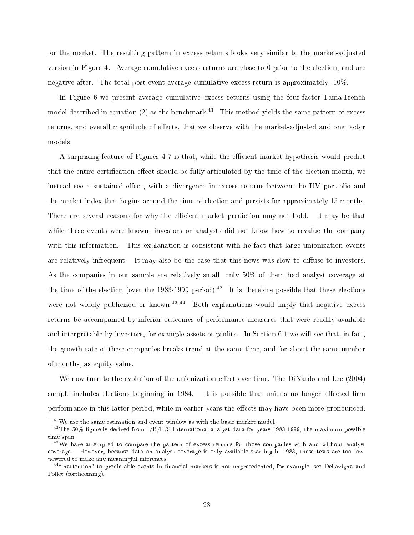for the market. The resulting pattern in ex
ess returns looks very similar to the market-adjusted version in Figure 4. Average cumulative excess returns are close to 0 prior to the election, and are negative after. The total post-event average cumulative excess return is approximately -10%.

In Figure 6 we present average cumulative excess returns using the four-factor Fama-French model described in equation (2) as the benchmark.<sup>41</sup> This method yields the same pattern of excess returns, and overall magnitude of effects, that we observe with the market-adjusted and one factor models.

A surprising feature of Figures 4-7 is that, while the efficient market hypothesis would predict that the entire certification effect should be fully articulated by the time of the election month, we instead see a sustained effect, with a divergence in excess returns between the UV portfolio and the market index that begins around the time of ele
tion and persists for approximately 15 months. There are several reasons for why the efficient market prediction may not hold. It may be that while these events were known, investors or analysts did not know how to revalue the company with this information. This explanation is consistent with he fact that large unionization events are relatively infrequent. It may also be the case that this news was slow to diffuse to investors. As the ompanies in our sample are relatively small, only 50% of them had analyst overage at the time of the election (over the 1983-1999 period).<sup>42</sup> It is therefore possible that these elections were not widely publicized or known.<sup>43,44</sup> Both explanations would imply that negative excess returns be accompanied by inferior outcomes of performance measures that were readily available and interpretable by investors, for example assets or profits. In Section 6.1 we will see that, in fact, the growth rate of these ompanies breaks trend at the same time, and for about the same number of months, as equity value.

We now turn to the evolution of the unionization effect over time. The DiNardo and Lee (2004) sample includes elections beginning in 1984. It is possible that unions no longer affected firm performance in this latter period, while in earlier years the effects may have been more pronounced.

<sup>&</sup>lt;sup>41</sup>We use the same estimation and event window as with the basic market model.

<sup>&</sup>lt;sup>42</sup>The 50% figure is derived from  $I/B/E/S$  International analyst data for years 1983-1999, the maximum possible time span. time span. The span is a span of the span of the span is a span of the span of the span of the span of the span.

<sup>&</sup>lt;sup>43</sup>We have attempted to compare the pattern of excess returns for those companies with and without analyst coverage. However, because data on analyst coverage is only available starting in 1983, these tests are too lowpowered to make any meaningful inferen
es.

tulhattention" to predictable events in financial markets is not unprecedented, for example, see Dellavigna and Pollet (forthcoming).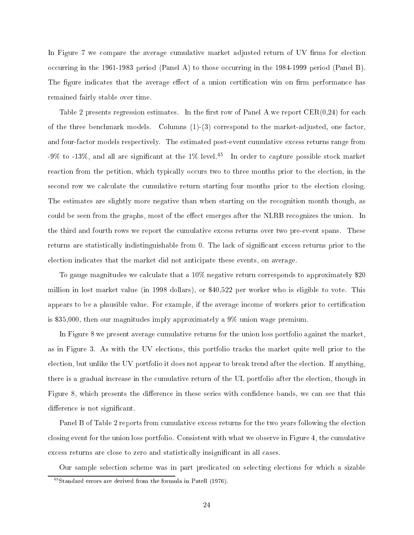In Figure 7 we compare the average cumulative market adjusted return of UV firms for election occurring in the 1961-1983 period (Panel A) to those occurring in the 1984-1999 period (Panel B) The figure indicates that the average effect of a union certification win on firm performance has remained fairly stable over time.

Table 2 presents regression estimates. In the first row of Panel A we report  $CER(0.24)$  for each of the three ben
hmark models. Columns (1)-(3) orrespond to the market-adjusted, one fa
tor, and four-factor models respectively. The estimated post-event cumulative excess returns range from -9% to -13%, and all are significant at the 1% level.<sup>45</sup> In order to capture possible stock market reaction from the petition, which typically occurs two to three months prior to the election, in the second row we calculate the cumulative return starting four months prior to the election closing. The estimates are slightly more negative than when starting on the recognition month though, as could be seen from the graphs, most of the effect emerges after the NLRB recognizes the union. In the third and fourth rows we report the umulative ex
ess returns over two pre-event spans. These returns are statistically indistinguishable from 0. The lack of significant excess returns prior to the ele
tion indi
ates that the market did not anti
ipate these events, on average.

To gauge magnitudes we calculate that a 10% negative return corresponds to approximately \$20 million in lost market value (in 1998 dollars), or \$40,522 per worker who is eligible to vote. This appears to be a plausible value. For example, if the average income of workers prior to certification is \$35,000, then our magnitudes imply approximately a 9% union wage premium.

In Figure 8 we present average umulative returns for the union loss portfolio against the market, as in Figure 3. As with the UV elections, this portfolio tracks the market quite well prior to the election, but unlike the UV portfolio it does not appear to break trend after the election. If anything, there is a gradual increase in the cumulative return of the UL portfolio after the election, though in Figure 8, which presents the difference in these series with confidence bands, we can see that this difference is not significant.

Panel B of Table 2 reports from cumulative excess returns for the two years following the election closing event for the union loss portfolio. Consistent with what we observe in Figure 4, the cumulative excess returns are close to zero and statistically insignificant in all cases.

Our sample selection scheme was in part predicated on selecting elections for which a sizable

<sup>45</sup>Standard errors are derived from the formula in Patell (1976).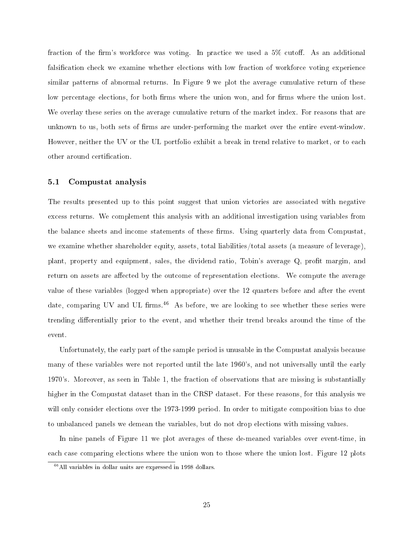fraction of the firm's workforce was voting. In practice we used a 5% cutoff. As an additional falsification check we examine whether elections with low fraction of workforce voting experience similar patterns of abnormal returns. In Figure 9 we plot the average cumulative return of these low percentage elections, for both firms where the union won, and for firms where the union lost. We overlay these series on the average cumulative return of the market index. For reasons that are unknown to us, both sets of firms are under-performing the market over the entire event-window. However, neither the UV or the UL portfolio exhibit a break in trend relative to market, or to each other around certification.

### 5.1 Compustat analysis

The results presented up to this point suggest that union victories are associated with negative ex
ess returns. We omplement this analysis with an additional investigation using variables from the balance sheets and income statements of these firms. Using quarterly data from Compustat. we examine whether shareholder equity, assets, total liabilities/total assets (a measure of leverage), plant, property and equipment, sales, the dividend ratio, Tobin's average Q, profit margin, and return on assets are affected by the outcome of representation elections. We compute the average value of these variables (logged when appropriate) over the 12 quarters before and after the event date, comparing UV and UL firms.<sup>46</sup> As before, we are looking to see whether these series were trending differentially prior to the event, and whether their trend breaks around the time of the event.

Unfortunately, the early part of the sample period is unusable in the Compustat analysis because many of these variables were not reported until the late 1960's, and not universally until the early 1970's. Moreover, as seen in Table 1, the fra
tion of observations that are missing is substantially higher in the Compustat dataset than in the CRSP dataset. For these reasons, for this analysis we will only consider elections over the 1973-1999 period. In order to mitigate composition bias to due to unbalan
ed panels we demean the variables, but do not drop ele
tions with missing values.

In nine panels of Figure 11 we plot averages of these de-meaned variables over event-time, in each case comparing elections where the union won to those where the union lost. Figure 12 plots

<sup>46</sup>All variables in dollar units are expressed in 1998 dollars.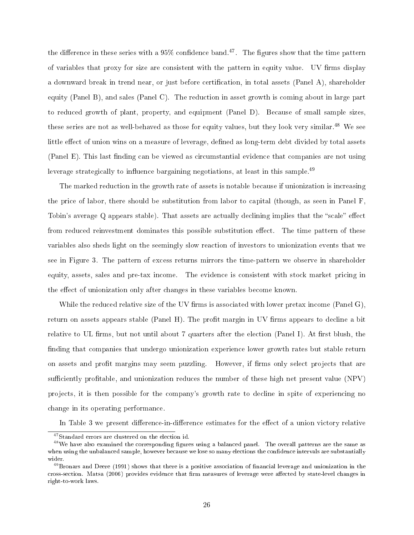the difference in these series with a 95% confidence band.47 The figures show that the time pattern of variables that proxy for size are consistent with the pattern in equity value. UV firms display a downward break in trend near, or just before erti
ation, in total assets (Panel A), shareholder equity (Panel B), and sales (Panel C). The reduction in asset growth is coming about in large part to redu
ed growth of plant, property, and equipment (Panel D). Be
ause of small sample sizes, these series are not as well-behaved as those for equity values, but they look very similar.<sup>48</sup> We see little effect of union wins on a measure of leverage, defined as long-term debt divided by total assets (Panel E). This last finding can be viewed as circumstantial evidence that companies are not using leverage strategically to influence bargaining negotiations, at least in this sample.<sup>49</sup>

The marked reduction in the growth rate of assets is notable because if unionization is increasing the pri
e of labor, there should be substitution from labor to apital (though, as seen in Panel F, Tobin's average Q appears stable). That assets are actually declining implies that the "scale" effect from reduced reinvestment dominates this possible substitution effect. The time pattern of these variables also sheds light on the seemingly slow rea
tion of investors to unionization events that we see in Figure 3. The pattern of excess returns mirrors the time-pattern we observe in shareholder equity, assets, sales and pre-tax income. The evidence is consistent with stock market pricing in the effect of unionization only after changes in these variables become known.

While the reduced relative size of the UV firms is associated with lower pretax income (Panel  $G$ ), return on assets appears stable (Panel H). The profit margin in UV firms appears to decline a bit relative to UL firms, but not until about 7 quarters after the election (Panel I). At first blush, the finding that companies that undergo unionization experience lower growth rates but stable return on assets and profit margins may seem puzzling. However, if firms only select projects that are sufficiently profitable, and unionization reduces the number of these high net present value (NPV) projects, it is then possible for the company's growth rate to decline in spite of experiencing no hange in its operating performan
e.

In Table 3 we present difference-in-difference estimates for the effect of a union victory relative

<sup>&</sup>lt;sup>47</sup>Standard errors are clustered on the election id.

<sup>&</sup>lt;sup>48</sup>We have also examined the corresponding figures using a balanced panel. The overall patterns are the same as when using the unbalanced sample, however because we lose so many elections the confidence intervals are substantially wider.

<sup>&</sup>lt;sup>49</sup>Bronars and Deere (1991) shows that there is a positive association of financial leverage and unionization in the cross-section. Matsa (2006) provides evidence that firm measures of leverage were affected by state-level changes in right-to-work laws.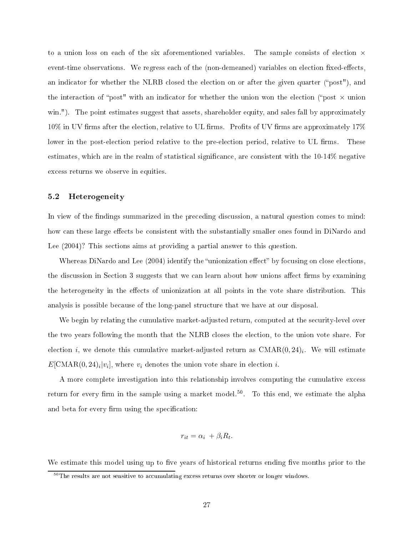to a union loss on each of the six aforementioned variables. The sample consists of election  $\times$ event-time observations. We regress each of the (non-demeaned) variables on election fixed-effects. an indicator for whether the NLRB closed the election on or after the given quarter ("post"), and the interaction of "post" with an indicator for whether the union won the election ("post  $\times$  union win."). The point estimates suggest that assets, shareholder equity, and sales fall by approximately 10% in UV firms after the election, relative to UL firms. Profits of UV firms are approximately 17% lower in the post-election period relative to the pre-election period, relative to UL firms. These estimates, which are in the realm of statistical significance, are consistent with the 10-14% negative excess returns we observe in equities.

### 5.2 Heterogeneity

In view of the findings summarized in the preceding discussion, a natural question comes to mind: how can these large effects be consistent with the substantially smaller ones found in DiNardo and Lee  $(2004)$ ? This sections aims at providing a partial answer to this question.

Whereas DiNardo and Lee  $(2004)$  identify the "unionization effect" by focusing on close elections. the discussion in Section 3 suggests that we can learn about how unions affect firms by examining the heterogeneity in the effects of unionization at all points in the vote share distribution. This analysis is possible be
ause of the long-panel stru
ture that we have at our disposal.

We begin by relating the cumulative market-adjusted return, computed at the security-level over the two years following the month that the NLRB closes the election, to the union vote share. For election  $i$ , we denote this cumulative market-adjusted return as  $\mathrm{CMAR}(0,24)_i$ . We will estimate  $E[\text{CMAR}(0, 24)_i | v_i]$ , where  $v_i$  denotes the union vote share in election  $i$ .

A more complete investigation into this relationship involves computing the cumulative excess return for every nrin in the sample using a market model.<sup>11</sup>. To this end, we estimate the alpha and beta for every firm using the specification:

$$
r_{it} = \alpha_i + \beta_i R_t.
$$

We estimate this model using up to five years of historical returns ending five months prior to the

 $50$ The results are not sensitive to accumulating excess returns over shorter or longer windows.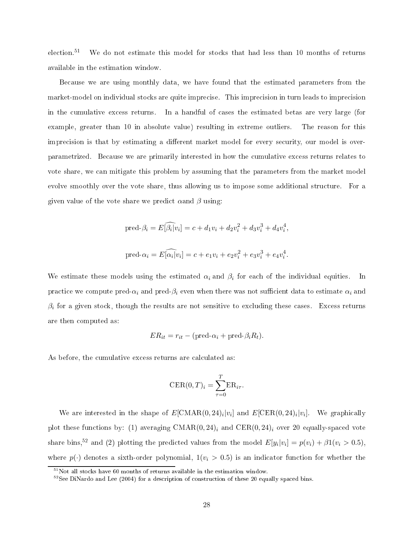election.<sup>51</sup> We do not estimate this model for stocks that had less than 10 months of returns available in the estimation window.

Be
ause we are using monthly data, we have found that the estimated parameters from the market-model on individual stocks are quite imprecise. This imprecision in turn leads to imprecision in the cumulative excess returns. In a handful of cases the estimated betas are very large (for example, greater than 10 in absolute value) resulting in extreme outliers. The reason for this imprecision is that by estimating a different market model for every security, our model is overparametrized. Be
ause we are primarily interested in how the umulative ex
ess returns relates to vote share, we an mitigate this problem by assuming that the parameters from the market model evolve smoothly over the vote share, thus allowing us to impose some additional structure. For a given value of the vote share we predict  $\alpha$  and  $\beta$  using:

$$
\text{pred-}\beta_i = E[\widehat{\beta_i}|v_i] = c + d_1v_i + d_2v_i^2 + d_3v_i^3 + d_4v_i^4,
$$
  

$$
\text{pred-}\alpha_i = E[\widehat{\alpha_i}|v_i] = c + e_1v_i + e_2v_i^2 + e_3v_i^3 + e_4v_i^4.
$$

We estimate these models using the estimated  $\alpha_i$  and  $\beta_i$  for each of the individual equities. In practice we compute pred- $\alpha_i$  and pred- $\beta_i$  even when there was not sufficient data to estimate  $\alpha_i$  and  $\beta_i$  for a given stock, though the results are not sensitive to excluding these cases. Excess returns are then omputed as:

$$
ER_{it} = r_{it} - (\text{pred-}\alpha_i + \text{pred-}\beta_i R_t).
$$

As before, the cumulative excess returns are calculated as:

$$
CER(0,T)_i = \sum_{\tau=0}^T ER_{i\tau}.
$$

We are interested in the shape of  $E[\text{CMAR}(0,24)_i|v_i]$  and  $E[\text{CER}(0,24)_i|v_i]$ . We graphically plot these functions by: (1) averaging  $CMAR(0, 24)_i$  and  $CER(0, 24)_i$  over 20 equally-spaced vote share bins,<sup>52</sup> and (2) plotting the predicted values from the model  $E[y_i|v_i] = p(v_i) + \beta 1(v_i > 0.5)$ , where  $p(\cdot)$  denotes a sixth-order polynomial,  $1(v_i > 0.5)$  is an indicator function for whether the

 $^{51}\rm{Not}$  all stocks have 60 months of returns available in the estimation window.

<sup>&</sup>lt;sup>52</sup>See DiNardo and Lee (2004) for a description of construction of these 20 equally spaced bins.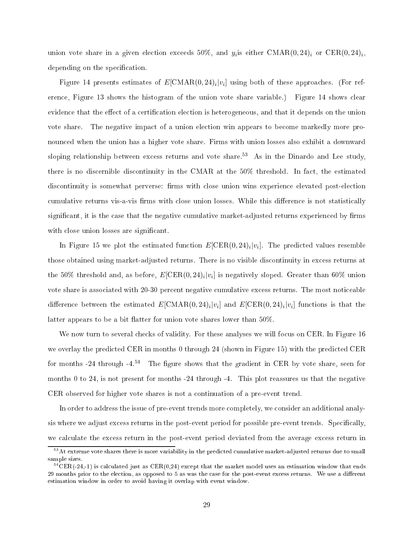union vote share in a given election exceeds 50%, and  $y_i$ is either  $\mathrm{CMAR}(0,24)_i$  or  $\mathrm{CER}(0,24)_i$ , depending on the specification.

Figure 14 presents estimates of  $E[\text{CMAR}(0,24)_i|v_i]$  using both of these approaches. (For reference, Figure 13 shows the histogram of the union vote share variable.) Figure 14 shows clear evidence that the effect of a certification election is heterogeneous, and that it depends on the union vote share. The negative impact of a union election win appears to become markedly more pronoun
ed when the union has a higher vote share. Firms with union losses also exhibit a downward sloping relationship between excess returns and vote share.<sup>53</sup> As in the Dinardo and Lee study. there is no discernible discontinuity in the CMAR at the 50% threshold. In fact, the estimated discontinuity is somewhat perverse: firms with close union wins experience elevated post-election cumulative returns vis-a-vis firms with close union losses. While this difference is not statistically significant, it is the case that the negative cumulative market-adjusted returns experienced by firms with close union losses are significant.

In Figure 15 we plot the estimated function  $E[\mathrm{CER}(0,24)_i|v_i]$ . The predicted values resemble those obtained using market-adjusted returns. There is no visible dis
ontinuity in ex
ess returns at the 50% threshold and, as before,  $E[\mathrm{CER}(0,24)_i | v_i]$  is negatively sloped. Greater than 60% union vote share is associated with 20-30 percent negative cumulative excess returns. The most noticeable difference between the estimated  $E[\textrm{CMAR}(0,24)_i | v_i]$  and  $E[\textrm{CER}(0,24)_i | v_i]$  functions is that the latter appears to be a bit flatter for union vote shares lower than  $50\%$ .

We now turn to several checks of validity. For these analyses we will focus on CER. In Figure 16 we overlay the predicted CER in months 0 through 24 (shown in Figure 15) with the predicted CER for months -24 through -4.<sup>54</sup> The figure shows that the gradient in CER by vote share, seen for months 0 to 24, is not present for months -24 through -4. This plot reassures us that the negative CER observed for higher vote shares is not a ontinuation of a pre-event trend.

In order to address the issue of pre-event trends more completely, we consider an additional analysis where we adjust excess returns in the post-event period for possible pre-event trends. Specifically, we calculate the excess return in the post-event period deviated from the average excess return in

 $53$  At extreme vote shares there is more variability in the predicted cumulative market-adjusted returns due to small sample sizes.

 ${}^{54}$ CER(-24,-1) is calculated just as CER(0,24) except that the market model uses an estimation window that ends 29 months prior to the election, as opposed to 5 as was the case for the post-event excess returns. We use a different estimation window in order to avoid having it overlap with event window.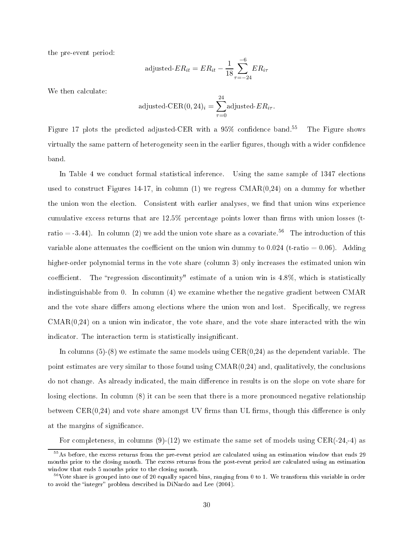the pre-event period:

adjusted-
$$
ER_{it} = ER_{it} - \frac{1}{18} \sum_{\tau=-24}^{-6} ER_{i\tau}
$$

We then calculate:

adjusted-CER
$$
(0, 24)_i = \sum_{\tau=0}^{24}
$$
 adjusted-*ER*<sub>*i*</sub> $\tau$ .

Figure 17 plots the predicted adjusted-CER with a  $95\%$  confidence band.<sup>55</sup> The Figure shows virtually the same pattern of heterogeneity seen in the earlier figures, though with a wider confidence band.

In Table 4 we conduct formal statistical inference. Using the same sample of 1347 elections used to construct Figures 14-17, in column  $(1)$  we regress CMAR $(0.24)$  on a dummy for whether the union won the election. Consistent with earlier analyses, we find that union wins experience cumulative excess returns that are 12.5% percentage points lower than firms with union losses (tratio = -3.44). In column (2) we add the union vote share as a covariate.<sup>56</sup> The introduction of this variable alone attenuates the coefficient on the union win dummy to 0.024 (t-ratio =  $0.06$ ). Adding higher-order polynomial terms in the vote share (column 3) only increases the estimated union win coefficient. The "regression discontinuity" estimate of a union win is 4.8%, which is statistically indistinguishable from 0. In column (4) we examine whether the negative gradient between CMAR and the vote share differs among elections where the union won and lost. Specifically, we regress  $CMAR(0,24)$  on a union win indicator, the vote share, and the vote share interacted with the win indicator. The interaction term is statistically insignificant.

In columns  $(5)-(8)$  we estimate the same models using  $CER(0,24)$  as the dependent variable. The point estimates are very similar to those found using  $CMAR(0,24)$  and, qualitatively, the conclusions do not change. As already indicated, the main difference in results is on the slope on vote share for losing elections. In column (8) it can be seen that there is a more pronounced negative relationship between  $CER(0,24)$  and vote share amongst UV firms than UL firms, though this difference is only at the margins of significance.

For completeness, in columns  $(9)-(12)$  we estimate the same set of models using CER(-24,-4) as

<sup>&</sup>lt;sup>55</sup>As before, the excess returns from the pre-event period are calculated using an estimation window that ends 29 months prior to the closing month. The excess returns from the post-event period are calculated using an estimation window that ends 5 months prior to the closing month.

 $^{56}$ Vote share is grouped into one of 20 equally spaced bins, ranging from 0 to 1. We transform this variable in order to avoid the "integer" problem described in DiNardo and Lee (2004).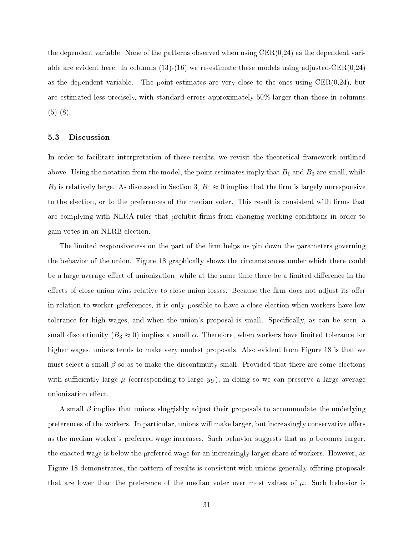the dependent variable. None of the patterns observed when using CER(0,24) as the dependent variable are evident here. In columns  $(13)-(16)$  we re-estimate these models using adjusted-CER $(0.24)$ as the dependent variable. The point estimates are very close to the ones using  $CER(0,24)$ , but are estimated less precisely, with standard errors approximately 50% larger than those in columns  $(5)-(8).$ 

### 5.3 Dis
ussion

In order to facilitate interpretation of these results, we revisit the theoretical framework outlined above. Using the notation from the model, the point estimates imply that  $B_1$  and  $B_3$  are small, while  $B_2$  is relatively large. As discussed in Section 3,  $B_1 \approx 0$  implies that the firm is largely unresponsive to the election, or to the preferences of the median voter. This result is consistent with firms that are complying with NLRA rules that prohibit firms from changing working conditions in order to gain votes in an NLRB ele
tion.

The limited responsiveness on the part of the firm helps us pin down the parameters governing the behavior of the union. Figure 18 graphically shows the circumstances under which there could be a large average effect of unionization, while at the same time there be a limited difference in the effects of close union wins relative to close union losses. Because the firm does not adjust its offer in relation to worker preferences, it is only possible to have a close election when workers have low tolerance for high wages, and when the union's proposal is small. Specifically, as can be seen, a small discontinuity ( $B_3 \approx 0$ ) implies a small  $\alpha$ . Therefore, when workers have limited tolerance for higher wages, unions tends to make very modest proposals. Also evident from Figure 18 is that we must select a small  $\beta$  so as to make the discontinuity small. Provided that there are some elections with sufficiently large  $\mu$  (corresponding to large  $y_U$ ), in doing so we can preserve a large average unionization effect.

A small  $\beta$  implies that unions sluggishly adjust their proposals to accommodate the underlying preferences of the workers. In particular, unions will make larger, but increasingly conservative offers as the median worker's preferred wage increases. Such behavior suggests that as  $\mu$  becomes larger. the enacted wage is below the preferred wage for an increasingly larger share of workers. However, as Figure 18 demonstrates, the pattern of results is consistent with unions generally offering proposals that are lower than the preference of the median voter over most values of  $\mu$ . Such behavior is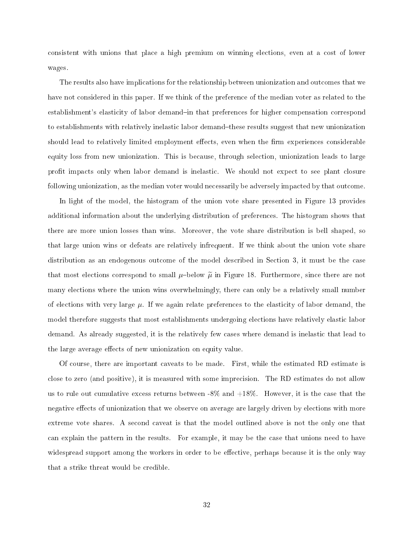consistent with unions that place a high premium on winning elections, even at a cost of lower wages.

The results also have implications for the relationship between unionization and outcomes that we have not considered in this paper. If we think of the preference of the median voter as related to the establishment's elasticity of labor demand-in that preferences for higher compensation correspond to establishments with relatively inelastic labor demand–these results suggest that new unionization should lead to relatively limited employment effects, even when the firm experiences considerable equity loss from new unionization. This is because, through selection, unionization leads to large profit impacts only when labor demand is inelastic. We should not expect to see plant closure following unionization, as the median voter would ne
essarily be adversely impa
ted by that out
ome.

In light of the model, the histogram of the union vote share presented in Figure 13 provides additional information about the underlying distribution of preferen
es. The histogram shows that there are more union losses than wins. Moreover, the vote share distribution is bell shaped, so that large union wins or defeats are relatively infrequent. If we think about the union vote share distribution as an endogenous outcome of the model described in Section 3, it must be the case that most elections correspond to small  $\mu$ -below  $\tilde{\mu}$  in Figure 18. Furthermore, since there are not many elections where the union wins overwhelmingly, there can only be a relatively small number of elections with very large  $\mu$ . If we again relate preferences to the elasticity of labor demand, the model therefore suggests that most establishments undergoing elections have relatively elastic labor demand. As already suggested, it is the relatively few cases where demand is inelastic that lead to the large average effects of new unionization on equity value.

Of ourse, there are important aveats to be made. First, while the estimated RD estimate is close to zero (and positive), it is measured with some imprecision. The RD estimates do not allow us to rule out cumulative excess returns between  $-8\%$  and  $+18\%$ . However, it is the case that the negative effects of unionization that we observe on average are largely driven by elections with more extreme vote shares. A second caveat is that the model outlined above is not the only one that can explain the pattern in the results. For example, it may be the case that unions need to have widespread support among the workers in order to be effective, perhaps because it is the only way that a strike threat would be redible.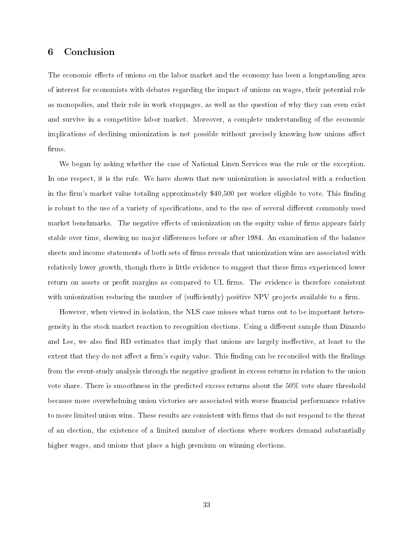## Con
lusion

The economic effects of unions on the labor market and the economy has been a longstanding area of interest for e
onomists with debates regarding the impa
t of unions on wages, their potential role as monopolies, and their role in work stoppages, as well as the question of why they an even exist and survive in a competitive labor market. Moreover, a complete understanding of the economic implications of declining unionization is not possible without precisely knowing how unions affect firms.

We began by asking whether the case of National Linen Services was the rule or the exception. In one respect, it is the rule. We have shown that new unionization is associated with a reduction in the firm's market value totaling approximately \$40,500 per worker eligible to vote. This finding is robust to the use of a variety of specifications, and to the use of several different commonly used market benchmarks. The negative effects of unionization on the equity value of firms appears fairly stable over time, showing no major differences before or after 1984. An examination of the balance sheets and income statements of both sets of firms reveals that unionization wins are associated with relatively lower growth, though there is little evidence to suggest that these firms experienced lower return on assets or profit margins as compared to UL firms. The evidence is therefore consistent with unionization reducing the number of (sufficiently) positive NPV projects available to a firm.

However, when viewed in isolation, the NLS case misses what turns out to be important heterogeneity in the stock market reaction to recognition elections. Using a different sample than Dinardo and Lee, we also find RD estimates that imply that unions are largely ineffective, at least to the extent that they do not affect a firm's equity value. This finding can be reconciled with the findings from the event-study analysis through the negative gradient in ex
ess returns in relation to the union vote share. There is smoothness in the predicted excess returns about the 50% vote share threshold because more overwhelming union victories are associated with worse financial performance relative to more limited union wins. These results are consistent with firms that do not respond to the threat of an ele
tion, the existen
e of a limited number of ele
tions where workers demand substantially higher wages, and unions that place a high premium on winning elections.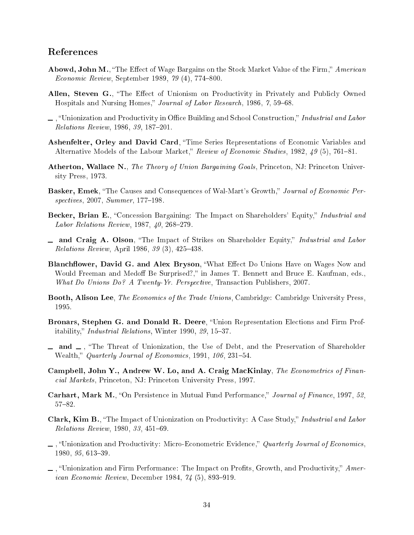# Referen
es

- Abowd, John M., "The Effect of Wage Bargains on the Stock Market Value of the Firm," American *Economic Review*, September 1989, 79 (4), 774–800.
- Allen, Steven G., "The Effect of Unionism on Productivity in Privately and Publicly Owned Hospitals and Nursing Homes," Journal of Labor Research, 1986, 7, 59–68.
- $\Box$ , "Unionization and Productivity in Office Building and School Construction," Industrial and Labor Relations Review, 1986, 39, 187-201.
- Ashenfelter, Orley and David Card, "Time Series Representations of Economic Variables and Alternative Models of the Labour Market," Review of Economic Studies, 1982, 49 (5), 761–81.
- Atherton, Wallace N., The Theory of Union Bargaining Goals, Princeton, NJ: Princeton University Press, 1973.
- **Basker, Emek**, "The Causes and Consequences of Wal-Mart's Growth," Journal of Economic Perspectives, 2007, Summer, 177-198.
- Becker, Brian E., "Concession Bargaining: The Impact on Shareholders' Equity," Industrial and Labor Relations Review,  $1987, 40, 268-279$ .
- and Craig A. Olson, "The Impact of Strikes on Shareholder Equity," Industrial and Labor Relations Review, April 1986,  $39(3)$ ,  $425-438$ .
- Blanchflower, David G. and Alex Bryson, "What Effect Do Unions Have on Wages Now and Would Freeman and Medoff Be Surprised?," in James T. Bennett and Bruce E. Kaufman, eds.. What Do Unions Do? A Twenty-Yr. Perspective, Transaction Publishers, 2007.
- Booth, Alison Lee, The Economics of the Trade Unions, Cambridge: Cambridge University Press. 1995.
- Bronars, Stephen G. and Donald R. Deere, "Union Representation Elections and Firm Profitability," *Industrial Relations*, Winter 1990, 29, 15-37.
- $\Box$  and  $\Box$ , "The Threat of Unionization, the Use of Debt, and the Preservation of Shareholder Wealth," Quarterly Journal of Economics, 1991, 106, 231-54.
- Campbell, John Y., Andrew W. Lo, and A. Craig MacKinlay, The Econometrics of Financial Markets, Princeton, NJ: Princeton University Press, 1997.
- **Carhart, Mark M.**, "On Persistence in Mutual Fund Performance," Journal of Finance, 1997, 52. 57-82.
- Clark, Kim B., "The Impact of Unionization on Productivity: A Case Study," Industrial and Labor Relations Review, 1980, 33, 451-69.
- $\Box$ , "Unionization and Productivity: Micro-Econometric Evidence," Quarterly Journal of Economics.  $1980, 95, 613-39.$
- $\Box$ , "Unionization and Firm Performance: The Impact on Profits, Growth, and Productivity," American Economic Review, December 1984, 74 (5), 893-919.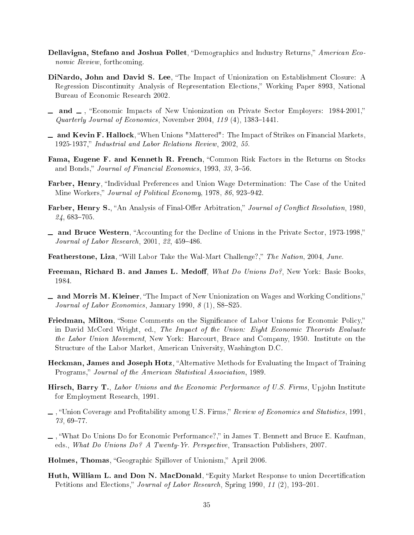- Dellavigna, Stefano and Joshua Pollet, "Demographics and Industry Returns," American Economic Review, forthcoming.
- DiNardo, John and David S. Lee, "The Impact of Unionization on Establishment Closure: A Regression Discontinuity Analysis of Representation Elections," Working Paper 8993, National Bureau of E
onomi Resear
h 2002.
- and -, "Economic Impacts of New Unionization on Private Sector Employers: 1984-2001," Quarterly Journal of Economics, November 2004,  $119(4)$ ,  $1383-1441$ .
- $\Box$  and Kevin F. Hallock, "When Unions "Mattered": The Impact of Strikes on Financial Markets. 1925-1937, Industrial and Labor Relations Review, 2002, 55.
- Fama, Eugene F. and Kenneth R. French, "Common Risk Factors in the Returns on Stocks and Bonds," Journal of Financial Economics, 1993, 33, 3-56.
- **Farber, Henry**, "Individual Preferences and Union Wage Determination: The Case of the United Mine Workers," Journal of Political Economy, 1978, 86, 923-942.
- Farber, Henry S., "An Analysis of Final-Offer Arbitration," Journal of Conflict Resolution, 1980  $24,683-705$ .
- and Bruce Western, "Accounting for the Decline of Unions in the Private Sector, 1973-1998," Journal of Labor Research, 2001, 22, 459-486.
- Featherstone, Liza, "Will Labor Take the Wal-Mart Challenge?," The Nation, 2004, June.
- Freeman, Richard B. and James L. Medoff, What Do Unions Do?, New York: Basic Books, 1984.
- and Morris M. Kleiner, "The Impact of New Unionization on Wages and Working Conditions," Journal of Labor Economics, January 1990,  $8(1)$ , S8-S25.
- Friedman, Milton, "Some Comments on the Significance of Labor Unions for Economic Policy," in David McCord Wright, ed., The Impact of the Union: Eight Economic Theorists Evaluate the Labor Union Movement, New York: Harcourt, Brace and Company, 1950. Institute on the Stru
ture of the Labor Market, Ameri
an University, Washington D.C.
- Heckman, James and Joseph Hotz, "Alternative Methods for Evaluating the Impact of Training Programs," Journal of the American Statistical Association, 1989.
- Hirsch, Barry T., Labor Unions and the Economic Performance of U.S. Firms, Upjohn Institute for Employment Resear
h, 1991.
- $\ldots$ , "Union Coverage and Profitability among U.S. Firms," Review of Economics and Statistics, 1991.  $73,69 - 77.$
- $\Box$ , "What Do Unions Do for Economic Performance?," in James T. Bennett and Bruce E. Kaufman. eds., What Do Unions Do? A Twenty-Yr. Perspective, Transaction Publishers, 2007.
- Holmes, Thomas, "Geographic Spillover of Unionism," April 2006.
- Huth, William L. and Don N. MacDonald, "Equity Market Response to union Decertification Petitions and Elections," Journal of Labor Research, Spring 1990, 11 (2), 193-201.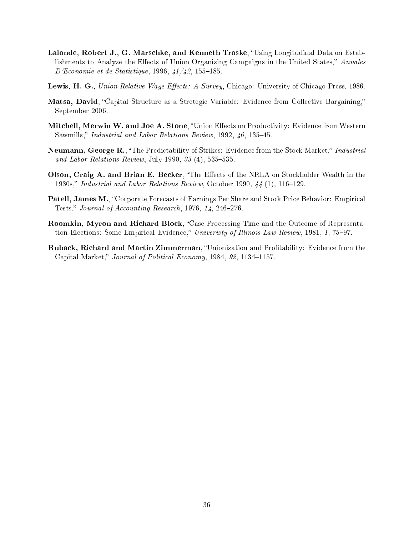- Lalonde, Robert J., G. Marschke, and Kenneth Troske, "Using Longitudinal Data on Establishments to Analyze the Effects of Union Organizing Campaigns in the United States," Annales  $D'E$ conomie et de Statistique, 1996,  $\frac{41}{42}$ , 155-185.
- Lewis, H. G., Union Relative Wage Effects: A Survey, Chicago: University of Chicago Press, 1986.
- Matsa, David, "Capital Structure as a Stretegic Variable: Evidence from Collective Bargaining," September 2006.
- Mitchell, Merwin W. and Joe A. Stone, "Union Effects on Productivity: Evidence from Western Sawmills," Industrial and Labor Relations Review, 1992, 46, 135-45.
- Neumann, George R., "The Predictability of Strikes: Evidence from the Stock Market," Industrial and Labor Relations Review, July 1990,  $33(4)$ , 535-535.
- Olson, Craig A. and Brian E. Becker, "The Effects of the NRLA on Stockholder Wealth in the 1930s," Industrial and Labor Relations Review, October 1990,  $\frac{1}{4}$  (1), 116–129.
- Patell, James M., "Corporate Forecasts of Earnings Per Share and Stock Price Behavior: Empirical Tests," Journal of Accounting Research,  $1976, 14, 246-276$ .
- Roomkin, Myron and Richard Block, "Case Processing Time and the Outcome of Representation Elections: Some Empirical Evidence," Univeristy of Illinois Law Review, 1981, 1, 75–97.
- Ruback, Richard and Martin Zimmerman, "Unionization and Profitability: Evidence from the Capital Market," Journal of Political Economy, 1984, 92, 1134-1157.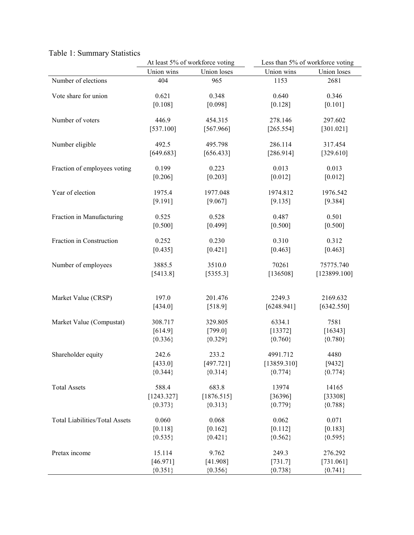|                                       |            | At least 5% of workforce voting | Less than 5% of workforce voting |              |  |  |  |
|---------------------------------------|------------|---------------------------------|----------------------------------|--------------|--|--|--|
|                                       | Union wins | Union loses                     | Union wins                       | Union loses  |  |  |  |
| Number of elections                   | 404        | 965                             | 1153                             | 2681         |  |  |  |
|                                       |            |                                 |                                  |              |  |  |  |
| Vote share for union                  | 0.621      | 0.348                           | 0.640                            | 0.346        |  |  |  |
|                                       | [0.108]    | [0.098]                         | [0.128]                          | [0.101]      |  |  |  |
| Number of voters                      | 446.9      | 454.315                         | 278.146                          | 297.602      |  |  |  |
|                                       | [537.100]  | [567.966]                       | [265.554]                        | [301.021]    |  |  |  |
|                                       |            |                                 |                                  |              |  |  |  |
| Number eligible                       | 492.5      | 495.798                         | 286.114                          | 317.454      |  |  |  |
|                                       | [649.683]  | [656.433]                       | [286.914]                        | [329.610]    |  |  |  |
|                                       |            |                                 |                                  |              |  |  |  |
| Fraction of employees voting          | 0.199      | 0.223                           | 0.013                            | 0.013        |  |  |  |
|                                       | [0.206]    | $[0.203]$                       | [0.012]                          | [0.012]      |  |  |  |
| Year of election                      | 1975.4     | 1977.048                        | 1974.812                         | 1976.542     |  |  |  |
|                                       | [9.191]    | [9.067]                         | [9.135]                          | [9.384]      |  |  |  |
|                                       |            |                                 |                                  |              |  |  |  |
| Fraction in Manufacturing             | 0.525      | 0.528                           | 0.487                            | 0.501        |  |  |  |
|                                       | [0.500]    | [0.499]                         | [0.500]                          | [0.500]      |  |  |  |
| Fraction in Construction              | 0.252      | 0.230                           | 0.310                            | 0.312        |  |  |  |
|                                       | [0.435]    | [0.421]                         | [0.463]                          | [0.463]      |  |  |  |
|                                       |            |                                 |                                  |              |  |  |  |
| Number of employees                   | 3885.5     | 3510.0                          | 70261                            | 75775.740    |  |  |  |
|                                       | [5413.8]   | [5355.3]                        | [136508]                         | [123899.100] |  |  |  |
|                                       |            |                                 |                                  |              |  |  |  |
|                                       | 197.0      | 201.476                         | 2249.3                           |              |  |  |  |
| Market Value (CRSP)                   |            |                                 |                                  | 2169.632     |  |  |  |
|                                       | [434.0]    | [518.9]                         | [6248.941]                       | [6342.550]   |  |  |  |
| Market Value (Compustat)              | 308.717    | 329.805                         | 6334.1                           | 7581         |  |  |  |
|                                       | [614.9]    | [799.0]                         | [13372]                          | [16343]      |  |  |  |
|                                       | ${0.336}$  | ${0.329}$                       | ${0.760}$                        | ${0.780}$    |  |  |  |
|                                       |            |                                 |                                  |              |  |  |  |
| Shareholder equity                    | 242.6      | 233.2                           | 4991.712                         | 4480         |  |  |  |
|                                       | [433.0]    | [497.721]                       | [13859.310]                      | [9432]       |  |  |  |
|                                       | ${0.344}$  | ${0.314}$                       | ${0.774}$                        | ${0.774}$    |  |  |  |
| <b>Total Assets</b>                   | 588.4      | 683.8                           | 13974                            | 14165        |  |  |  |
|                                       | [1243.327] | [1876.515]                      | [36396]                          | [33308]      |  |  |  |
|                                       | ${0.373}$  | ${0.313}$                       | ${0.779}$                        | ${0.788}$    |  |  |  |
|                                       |            |                                 |                                  |              |  |  |  |
| <b>Total Liabilities/Total Assets</b> | 0.060      | 0.068                           | 0.062                            | 0.071        |  |  |  |
|                                       | [0.118]    | [0.162]                         | [0.112]                          | [0.183]      |  |  |  |
|                                       | ${0.535}$  | ${0.421}$                       | ${0.562}$                        | ${0.595}$    |  |  |  |
| Pretax income                         | 15.114     | 9.762                           | 249.3                            | 276.292      |  |  |  |
|                                       |            |                                 |                                  |              |  |  |  |
|                                       | [46.971]   | [41.908]                        | [731.7]                          | [731.061]    |  |  |  |
|                                       | ${0.351}$  | ${0.356}$                       | ${0.738}$                        | ${0.741}$    |  |  |  |

# Table 1: Summary Statistics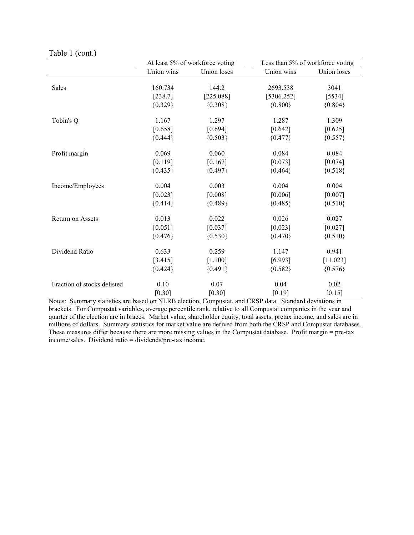Table 1 (cont.)

|                             |            | At least 5% of workforce voting | Less than 5% of workforce voting |             |  |  |  |
|-----------------------------|------------|---------------------------------|----------------------------------|-------------|--|--|--|
|                             | Union wins | Union loses                     | Union wins                       | Union loses |  |  |  |
| Sales                       | 160.734    | 144.2                           | 2693.538                         | 3041        |  |  |  |
|                             | [238.7]    | [225.088]                       | [5306.252]                       | [5534]      |  |  |  |
|                             | ${0.329}$  | ${0.308}$                       | ${0.800}$                        | ${0.804}$   |  |  |  |
| Tobin's Q                   | 1.167      | 1.297                           | 1.287                            | 1.309       |  |  |  |
|                             | [0.658]    | [0.694]                         | [0.642]                          | [0.625]     |  |  |  |
|                             | ${0.444}$  | ${0.503}$                       | ${0.477}$                        | ${0.557}$   |  |  |  |
| Profit margin               | 0.069      | 0.060                           | 0.084                            | 0.084       |  |  |  |
|                             | [0.119]    | [0.167]                         | [0.073]                          | [0.074]     |  |  |  |
|                             | ${0.435}$  | ${0.497}$                       | ${0.464}$                        | ${0.518}$   |  |  |  |
| Income/Employees            | 0.004      | 0.003                           | 0.004                            | 0.004       |  |  |  |
|                             | [0.023]    | [0.008]                         | [0.006]                          | [0.007]     |  |  |  |
|                             | ${0.414}$  | ${0.489}$                       | ${0.485}$                        | ${0.510}$   |  |  |  |
| Return on Assets            | 0.013      | 0.022                           | 0.026                            | 0.027       |  |  |  |
|                             | [0.051]    | [0.037]                         | [0.023]                          | [0.027]     |  |  |  |
|                             | ${0.476}$  | ${0.530}$                       | ${0.470}$                        | ${0.510}$   |  |  |  |
| Dividend Ratio              | 0.633      | 0.259                           | 1.147                            | 0.941       |  |  |  |
|                             | [3.415]    | [1.100]                         | [6.993]                          | [11.023]    |  |  |  |
|                             | ${0.424}$  | ${0.491}$                       | ${0.582}$                        | ${0.576}$   |  |  |  |
| Fraction of stocks delisted | 0.10       | 0.07                            | 0.04                             | 0.02        |  |  |  |
|                             | $[0.30]$   | $[0.30]$                        | $[0.19]$                         | $[0.15]$    |  |  |  |

Notes: Summary statistics are based on NLRB election, Compustat, and CRSP data. Standard deviations in brackets. For Compustat variables, average percentile rank, relative to all Compustat companies in the year and quarter of the election are in braces. Market value, shareholder equity, total assets, pretax income, and sales are in millions of dollars. Summary statistics for market value are derived from both the CRSP and Compustat databases. These measures differ because there are more missing values in the Compustat database. Profit margin = pre-tax income/sales. Dividend ratio = dividends/pre-tax income.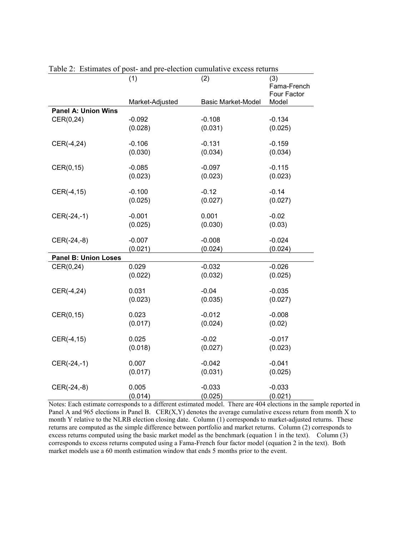|                             | (1)<br>Market-Adjusted | (2)<br><b>Basic Market-Model</b> | (3)<br>Fama-French<br>Four Factor<br>Model |
|-----------------------------|------------------------|----------------------------------|--------------------------------------------|
| <b>Panel A: Union Wins</b>  |                        |                                  |                                            |
| CER(0,24)                   | $-0.092$               | $-0.108$                         | $-0.134$                                   |
|                             | (0.028)                | (0.031)                          | (0.025)                                    |
| CER(-4,24)                  | $-0.106$               | $-0.131$                         | $-0.159$                                   |
|                             | (0.030)                | (0.034)                          | (0.034)                                    |
| CER(0,15)                   | $-0.085$               | $-0.097$                         | $-0.115$                                   |
|                             | (0.023)                | (0.023)                          | (0.023)                                    |
| CER(-4,15)                  | $-0.100$               | $-0.12$                          | $-0.14$                                    |
|                             | (0.025)                | (0.027)                          | (0.027)                                    |
| CER(-24,-1)                 | $-0.001$               | 0.001                            | $-0.02$                                    |
|                             | (0.025)                | (0.030)                          | (0.03)                                     |
| CER(-24,-8)                 | $-0.007$               | $-0.008$                         | $-0.024$                                   |
|                             | (0.021)                | (0.024)                          | (0.024)                                    |
| <b>Panel B: Union Loses</b> |                        |                                  |                                            |
| CER(0,24)                   | 0.029                  | $-0.032$                         | $-0.026$                                   |
|                             | (0.022)                | (0.032)                          | (0.025)                                    |
| CER(-4,24)                  | 0.031                  | $-0.04$                          | $-0.035$                                   |
|                             | (0.023)                | (0.035)                          | (0.027)                                    |
| CER(0,15)                   | 0.023                  | $-0.012$                         | $-0.008$                                   |
|                             | (0.017)                | (0.024)                          | (0.02)                                     |
| CER(-4,15)                  | 0.025                  | $-0.02$                          | $-0.017$                                   |
|                             | (0.018)                | (0.027)                          | (0.023)                                    |
| CER(-24,-1)                 | 0.007                  | $-0.042$                         | $-0.041$                                   |
|                             | (0.017)                | (0.031)                          | (0.025)                                    |
| CER(-24,-8)                 | 0.005                  | $-0.033$                         | $-0.033$                                   |
|                             | (0.014)                | (0.025)                          | (0.021)                                    |

Table 2: Estimates of post- and pre-election cumulative excess returns

Notes: Each estimate corresponds to a different estimated model. There are 404 elections in the sample reported in Panel A and 965 elections in Panel B. CER $(X, Y)$  denotes the average cumulative excess return from month X to month Y relative to the NLRB election closing date. Column (1) corresponds to market-adjusted returns. These returns are computed as the simple difference between portfolio and market returns. Column (2) corresponds to excess returns computed using the basic market model as the benchmark (equation 1 in the text). Column (3) corresponds to excess returns computed using a Fama-French four factor model (equation 2 in the text). Both market models use a 60 month estimation window that ends 5 months prior to the event.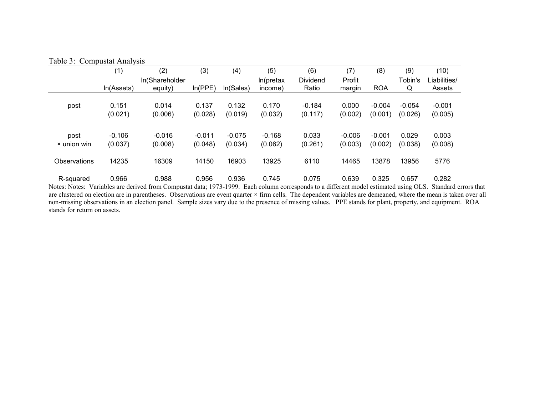# Table 3: Compustat Analysis

|              | (1)        | (2)            | (3)      | (4)       | (5)       | (6)      | (7)      | (8)        | (9)      | (10)         |
|--------------|------------|----------------|----------|-----------|-----------|----------|----------|------------|----------|--------------|
|              |            | In(Shareholder |          |           | In(pretax | Dividend | Profit   |            | Tobin's  | Liabilities/ |
|              | In(Assets) | equity)        | ln(PPE)  | In(Sales) | income)   | Ratio    | margin   | <b>ROA</b> | Q        | Assets       |
|              | 0.151      | 0.014          | 0.137    | 0.132     | 0.170     | $-0.184$ | 0.000    | $-0.004$   | $-0.054$ | $-0.001$     |
| post         |            |                |          |           |           |          |          |            |          |              |
|              | (0.021)    | (0.006)        | (0.028)  | (0.019)   | (0.032)   | (0.117)  | (0.002)  | (0.001)    | (0.026)  | (0.005)      |
|              |            |                |          |           |           |          |          |            |          |              |
| post         | $-0.106$   | $-0.016$       | $-0.011$ | $-0.075$  | $-0.168$  | 0.033    | $-0.006$ | $-0.001$   | 0.029    | 0.003        |
| × union win  | (0.037)    | (0.008)        | (0.048)  | (0.034)   | (0.062)   | (0.261)  | (0.003)  | (0.002)    | (0.038)  | (0.008)      |
|              |            |                |          |           |           |          |          |            |          |              |
| Observations | 14235      | 16309          | 14150    | 16903     | 13925     | 6110     | 14465    | 13878      | 13956    | 5776         |
|              |            |                |          |           |           |          |          |            |          |              |
| R-squared    | 0.966      | 0.988          | 0.956    | 0.936     | 0.745     | 0.075    | 0.639    | 0.325      | 0.657    | 0.282        |

R-squared 0.966 0.988 0.956 0.936 0.745 0.075 0.639 0.325 0.657 0.282<br>Notes: Notes: Variables are derived from Compustat data; 1973-1999. Each column corresponds to a different model estimated using OLS. Standard errors th are clustered on election are in parentheses. Observations are event quarter  $\times$  firm cells. The dependent variables are demeaned, where the mean is taken over all non-missing observations in an election panel. Sample sizes vary due to the presence of missing values. PPE stands for plant, property, and equipment. ROA stands for return on assets.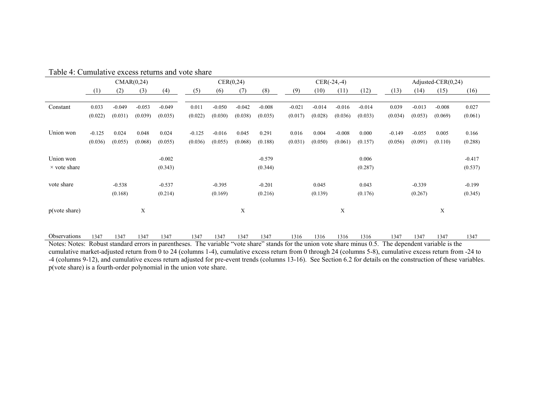|                     | CMAR(0,24) |          |          |          | CER(0,24) |          |          |          | $CER(-24,-4)$ |          |          |          | Adjusted-CER $(0,24)$ |          |          |          |
|---------------------|------------|----------|----------|----------|-----------|----------|----------|----------|---------------|----------|----------|----------|-----------------------|----------|----------|----------|
|                     | (1)        | (2)      | (3)      | (4)      | (5)       | (6)      | (7)      | (8)      | (9)           | (10)     | (11)     | (12)     | (13)                  | (14)     | (15)     | (16)     |
|                     |            |          |          |          |           |          |          |          |               |          |          |          |                       |          |          |          |
| Constant            | 0.033      | $-0.049$ | $-0.053$ | $-0.049$ | 0.011     | $-0.050$ | $-0.042$ | $-0.008$ | $-0.021$      | $-0.014$ | $-0.016$ | $-0.014$ | 0.039                 | $-0.013$ | $-0.008$ | 0.027    |
|                     | (0.022)    | (0.031)  | (0.039)  | (0.035)  | (0.022)   | (0.030)  | (0.038)  | (0.035)  | (0.017)       | (0.028)  | (0.036)  | (0.033)  | (0.034)               | (0.053)  | (0.069)  | (0.061)  |
|                     |            |          |          |          |           |          |          |          |               |          |          |          |                       |          |          |          |
| Union won           | $-0.125$   | 0.024    | 0.048    | 0.024    | $-0.125$  | $-0.016$ | 0.045    | 0.291    | 0.016         | 0.004    | $-0.008$ | 0.000    | $-0.149$              | $-0.055$ | 0.005    | 0.166    |
|                     | (0.036)    | (0.055)  | (0.068)  | (0.055)  | (0.036)   | (0.055)  | (0.068)  | (0.188)  | (0.031)       | (0.050)  | (0.061)  | (0.157)  | (0.056)               | (0.091)  | (0.110)  | (0.288)  |
|                     |            |          |          |          |           |          |          |          |               |          |          |          |                       |          |          |          |
| Union won           |            |          |          | $-0.002$ |           |          |          | $-0.579$ |               |          |          | 0.006    |                       |          |          | $-0.417$ |
| $\times$ vote share |            |          |          | (0.343)  |           |          |          | (0.344)  |               |          |          | (0.287)  |                       |          |          | (0.537)  |
|                     |            |          |          |          |           |          |          |          |               |          |          |          |                       |          |          |          |
| vote share          |            | $-0.538$ |          | $-0.537$ |           | $-0.395$ |          | $-0.201$ |               | 0.045    |          | 0.043    |                       | $-0.339$ |          | $-0.199$ |
|                     |            | (0.168)  |          | (0.214)  |           | (0.169)  |          | (0.216)  |               | (0.139)  |          | (0.176)  |                       | (0.267)  |          | (0.345)  |
|                     |            |          |          |          |           |          |          |          |               |          |          |          |                       |          |          |          |
| p(vote share)       |            |          | X        |          |           |          | X        |          |               |          | X        |          |                       |          | X        |          |
|                     |            |          |          |          |           |          |          |          |               |          |          |          |                       |          |          |          |
|                     |            |          |          |          |           |          |          |          |               |          |          |          |                       |          |          |          |
| Observations        | 1347       | 1347     | 1347     | 1347     | 1347      | 1347     | 1347     | 1347     | 1316          | 1316     | 1316     | 1316     | 1347                  | 1347     | 1347     | 1347     |

Table 4: Cumulative excess returns and vote share

Notes: Notes: Robust standard errors in parentheses. The variable "vote share" stands for the union vote share minus 0.5. The dependent variable is the cumulative market-adjusted return from 0 to 24 (columns 1-4), cumulative excess return from 0 through 24 (columns 5-8), cumulative excess return from -24 to -4 (columns 9-12), and cumulative excess return adjusted for pre-event trends (columns 13-16). See Section 6.2 for details on the construction of these variables. p(vote share) is a fourth-order polynomial in the union vote share.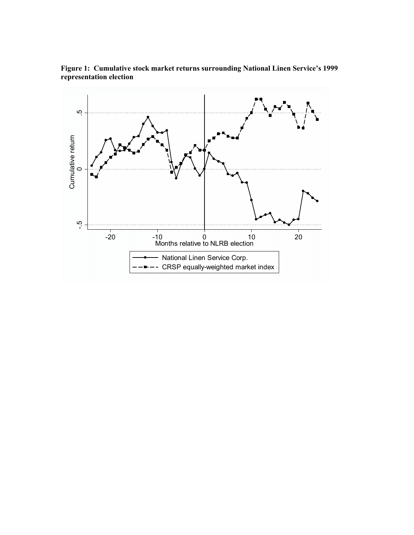

Figure 1: Cumulative stock market returns surrounding National Linen Service's 1999 representation election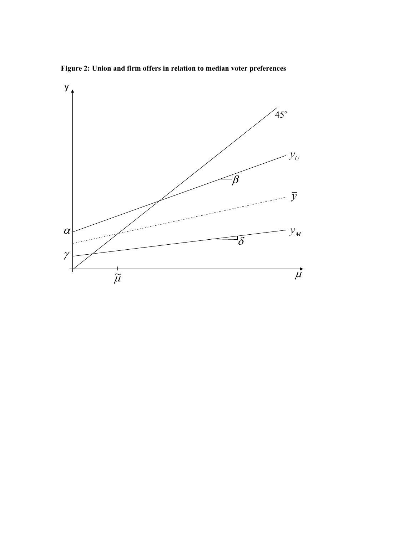Figure 2: Union and firm offers in relation to median voter preferences

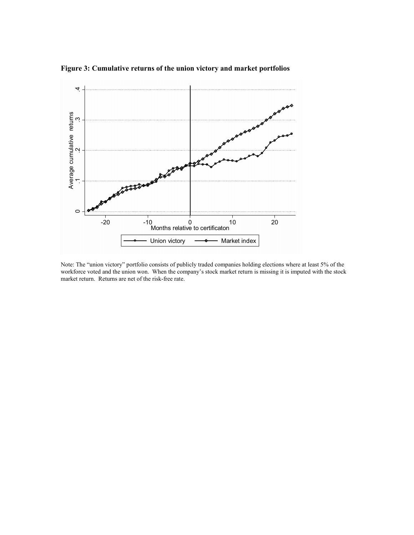

Figure 3: Cumulative returns of the union victory and market portfolios

Note: The "union victory" portfolio consists of publicly traded companies holding elections where at least 5% of the workforce voted and the union won. When the company's stock market return is missing it is imputed with the stock market return. Returns are net of the risk-free rate.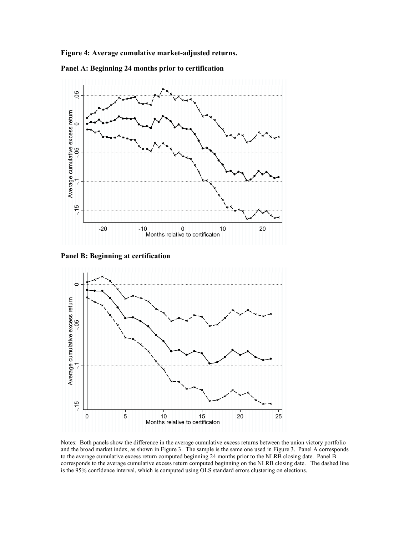Figure 4: Average cumulative market-adjusted returns.









Notes: Both panels show the difference in the average cumulative excess returns between the union victory portfolio and the broad market index, as shown in Figure 3. The sample is the same one used in Figure 3. Panel A corresponds to the average cumulative excess return computed beginning 24 months prior to the NLRB closing date. Panel B corresponds to the average cumulative excess return computed beginning on the NLRB closing date. The dashed line is the 95% confidence interval, which is computed using OLS standard errors clustering on elections.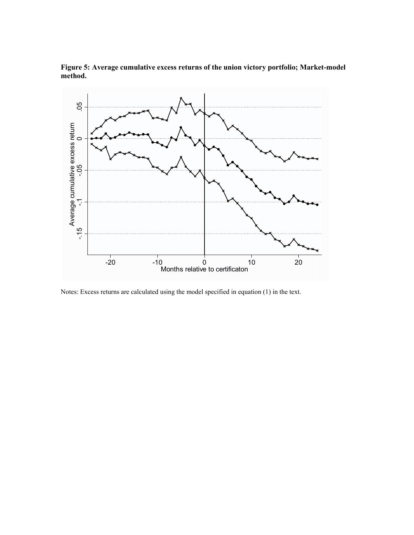



Notes: Excess returns are calculated using the model specified in equation (1) in the text.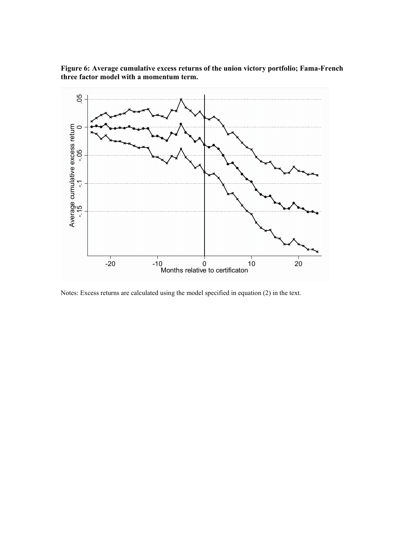



Notes: Excess returns are calculated using the model specified in equation (2) in the text.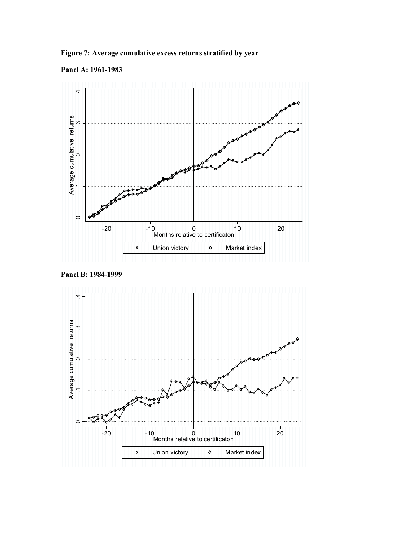Figure 7: Average cumulative excess returns stratified by year





Panel B: 1984-1999

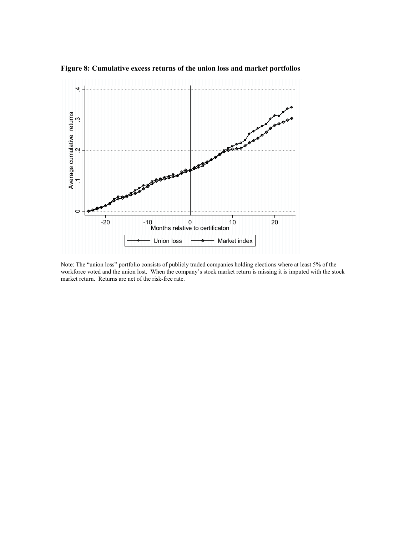

Figure 8: Cumulative excess returns of the union loss and market portfolios

Note: The "union loss" portfolio consists of publicly traded companies holding elections where at least 5% of the workforce voted and the union lost. When the company's stock market return is missing it is imputed with the stock market return. Returns are net of the risk-free rate.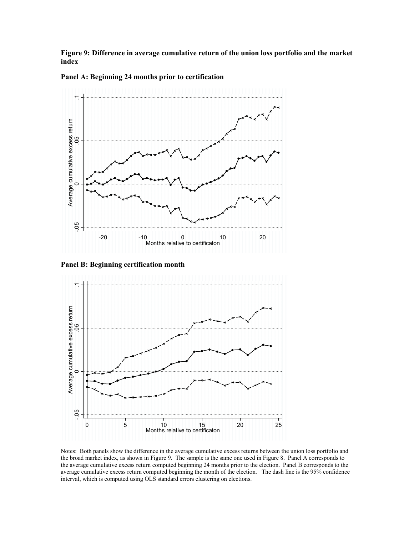Figure 9: Difference in average cumulative return of the union loss portfolio and the market index



Panel A: Beginning 24 months prior to certification

Panel B: Beginning certification month



Notes: Both panels show the difference in the average cumulative excess returns between the union loss portfolio and the broad market index, as shown in Figure 9. The sample is the same one used in Figure 8. Panel A corresponds to the average cumulative excess return computed beginning 24 months prior to the election. Panel B corresponds to the average cumulative excess return computed beginning the month of the election. The dash line is the 95% confidence interval, which is computed using OLS standard errors clustering on elections.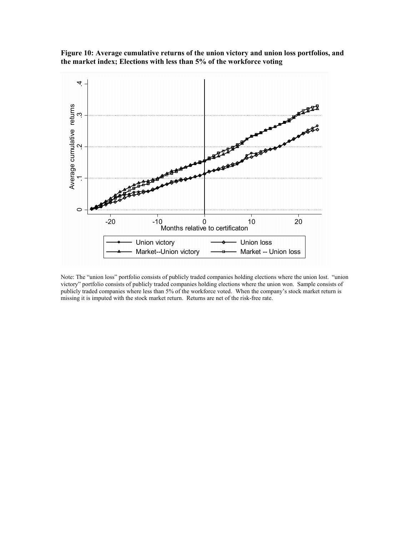



Note: The "union loss" portfolio consists of publicly traded companies holding elections where the union lost. "union victory" portfolio consists of publicly traded companies holding elections where the union won. Sample consists of publicly traded companies where less than 5% of the workforce voted. When the company's stock market return is missing it is imputed with the stock market return. Returns are net of the risk-free rate.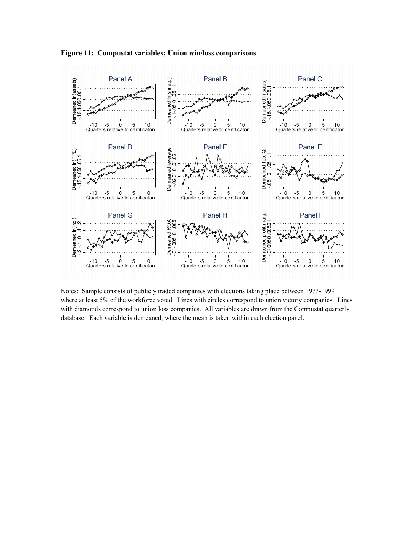



Notes: Sample consists of publicly traded companies with elections taking place between 1973-1999 where at least 5% of the workforce voted. Lines with circles correspond to union victory companies. Lines with diamonds correspond to union loss companies. All variables are drawn from the Compustat quarterly database. Each variable is demeaned, where the mean is taken within each election panel.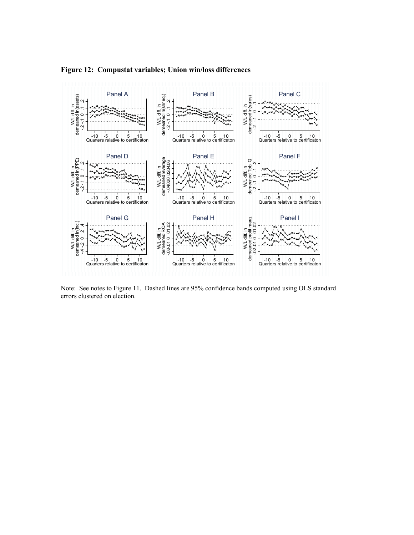

Figure 12: Compustat variables; Union win/loss differences

Note: See notes to Figure 11. Dashed lines are 95% confidence bands computed using OLS standard errors clustered on election.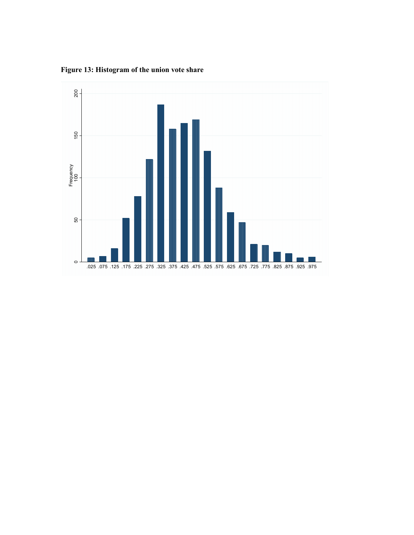Figure 13: Histogram of the union vote share

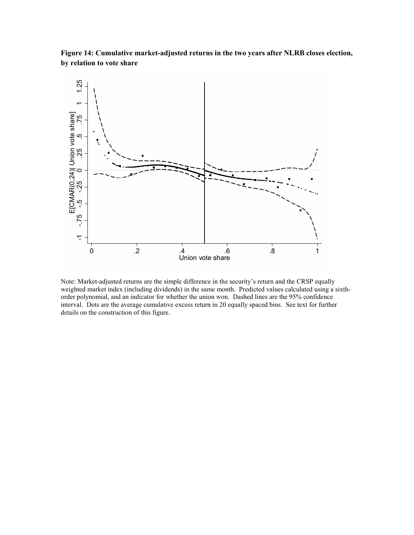Figure 14: Cumulative market-adjusted returns in the two years after NLRB closes election, by relation to vote share



Note: Market-adjusted returns are the simple difference in the security's return and the CRSP equally weighted market index (including dividends) in the same month. Predicted values calculated using a sixthorder polynomial, and an indicator for whether the union won. Dashed lines are the 95% confidence interval. Dots are the average cumulative excess return in 20 equally spaced bins. See text for further details on the construction of this figure.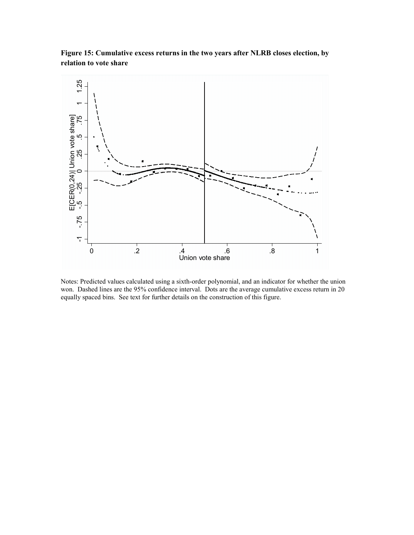Figure 15: Cumulative excess returns in the two years after NLRB closes election, by relation to vote share



Notes: Predicted values calculated using a sixth-order polynomial, and an indicator for whether the union won. Dashed lines are the 95% confidence interval. Dots are the average cumulative excess return in 20 equally spaced bins. See text for further details on the construction of this figure.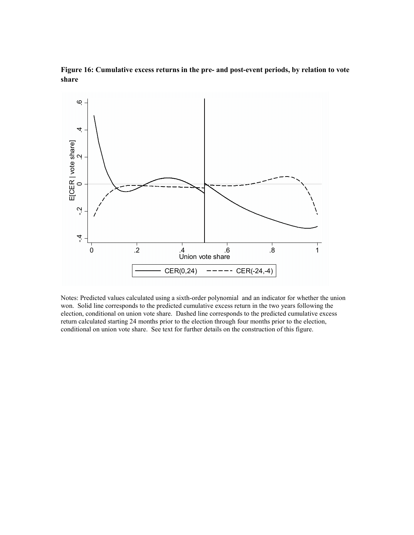

Figure 16: Cumulative excess returns in the pre- and post-event periods, by relation to vote share

Notes: Predicted values calculated using a sixth-order polynomial and an indicator for whether the union won. Solid line corresponds to the predicted cumulative excess return in the two years following the election, conditional on union vote share. Dashed line corresponds to the predicted cumulative excess return calculated starting 24 months prior to the election through four months prior to the election, conditional on union vote share. See text for further details on the construction of this figure.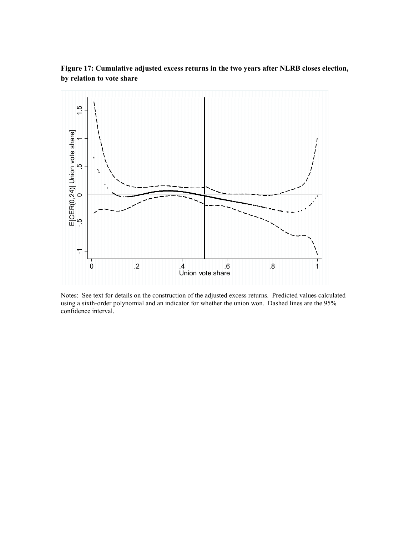Figure 17: Cumulative adjusted excess returns in the two years after NLRB closes election, by relation to vote share



Notes: See text for details on the construction of the adjusted excess returns. Predicted values calculated using a sixth-order polynomial and an indicator for whether the union won. Dashed lines are the 95% confidence interval.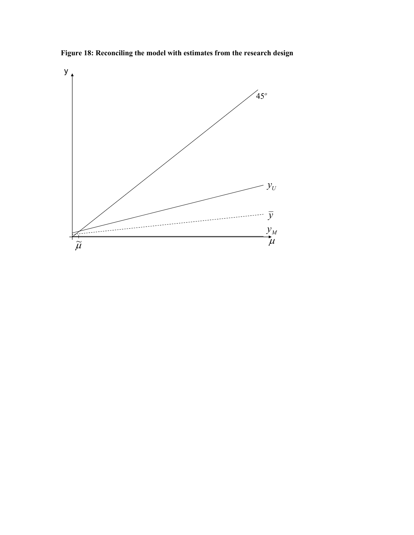

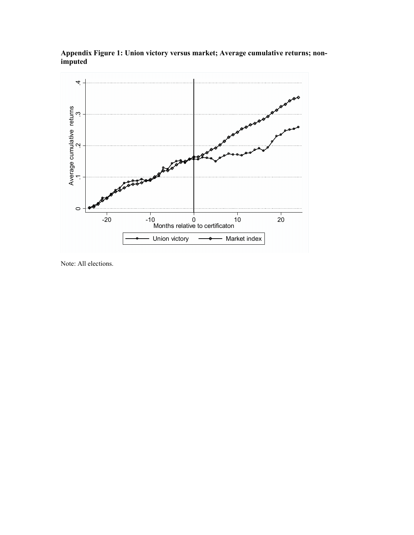

Appendix Figure 1: Union victory versus market; Average cumulative returns; nonimputed

Note: All elections.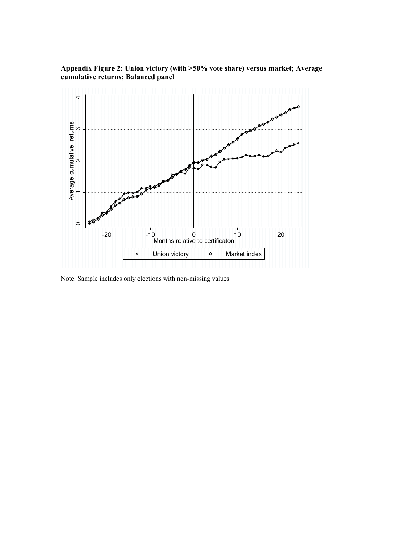

# Appendix Figure 2: Union victory (with >50% vote share) versus market; Average cumulative returns; Balanced panel

Note: Sample includes only elections with non-missing values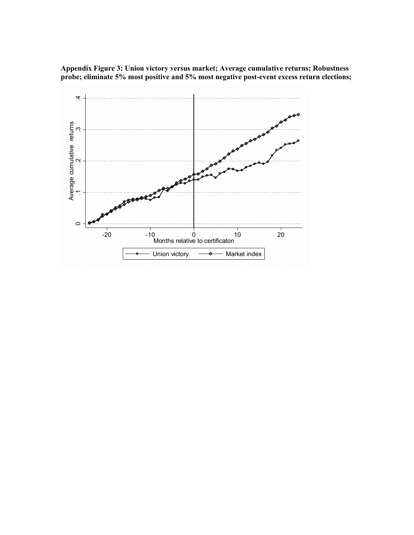Appendix Figure 3: Union victory versus market; Average cumulative returns; Robustness probe; eliminate 5% most positive and 5% most negative post-event excess return elections;